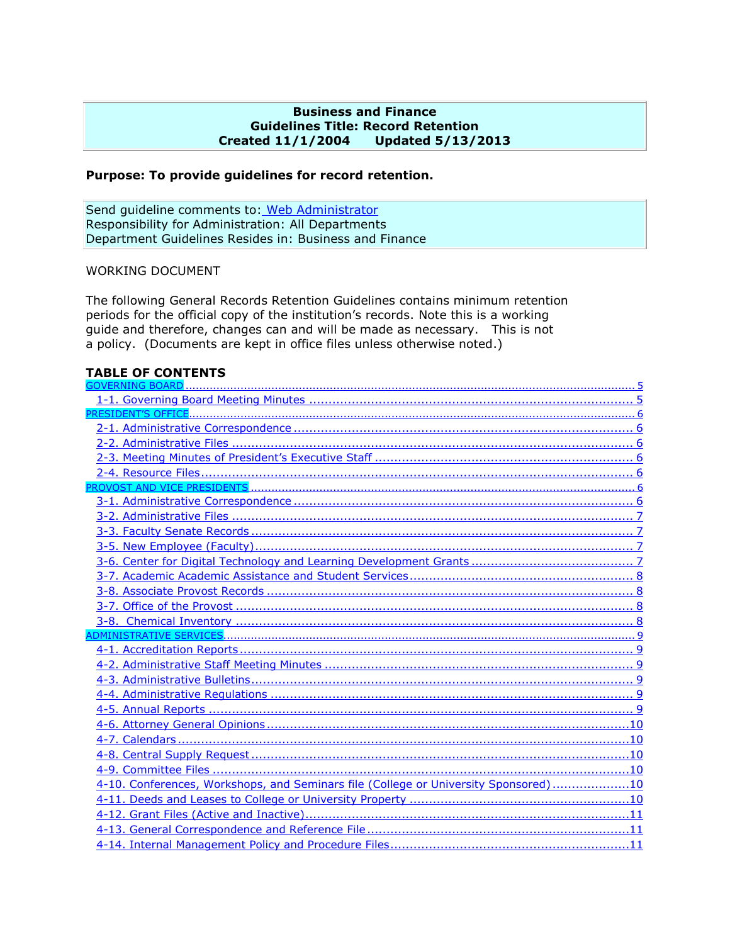#### **Business and Finance Guidelines Title: Record Retention Created 11/1/2004 Updated 5/13/2013**

#### **Purpose: To provide guidelines for record retention.**

Send guideline comments to: [Web Administrator](mailto:donna.blunck@drake.edu) Responsibility for Administration: All Departments Department Guidelines Resides in: Business and Finance

#### WORKING DOCUMENT

The following General Records Retention Guidelines contains minimum retention periods for the official copy of the institution's records. Note this is a working guide and therefore, changes can and will be made as necessary. This is not a policy. (Documents are kept in office files unless otherwise noted.)

#### <span id="page-0-0"></span>**TABLE OF CONTENTS**

| 4-10. Conferences, Workshops, and Seminars file (College or University Sponsored)10 |
|-------------------------------------------------------------------------------------|
|                                                                                     |
|                                                                                     |
|                                                                                     |
|                                                                                     |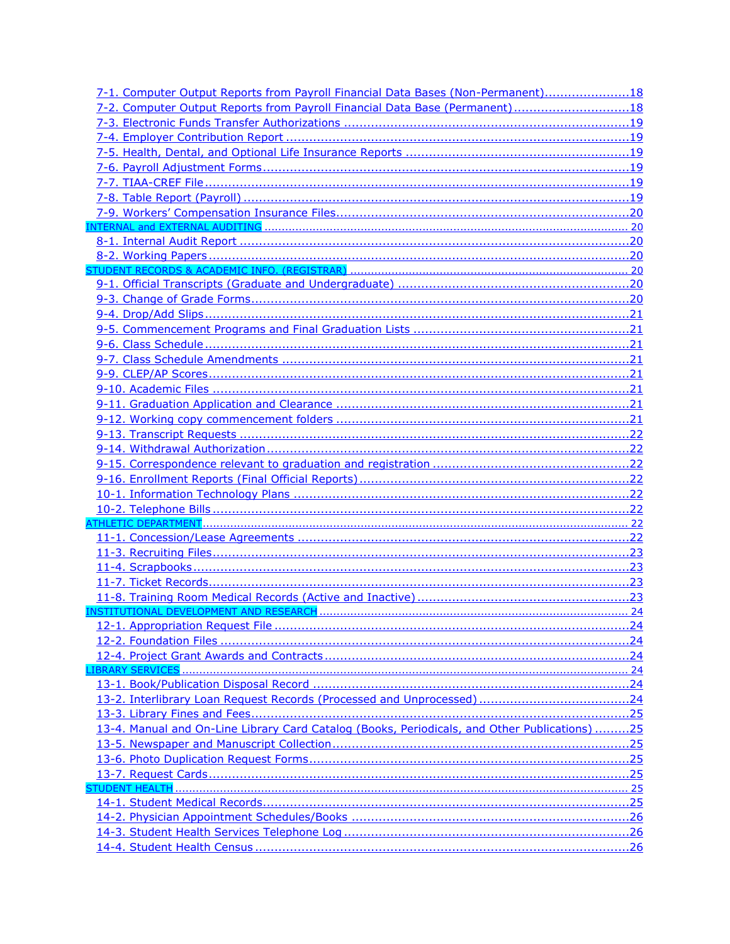| 7-1. Computer Output Reports from Payroll Financial Data Bases (Non-Permanent)18             |  |
|----------------------------------------------------------------------------------------------|--|
| 7-2. Computer Output Reports from Payroll Financial Data Base (Permanent)18                  |  |
|                                                                                              |  |
|                                                                                              |  |
|                                                                                              |  |
|                                                                                              |  |
|                                                                                              |  |
|                                                                                              |  |
|                                                                                              |  |
|                                                                                              |  |
|                                                                                              |  |
|                                                                                              |  |
|                                                                                              |  |
|                                                                                              |  |
|                                                                                              |  |
|                                                                                              |  |
|                                                                                              |  |
|                                                                                              |  |
|                                                                                              |  |
|                                                                                              |  |
|                                                                                              |  |
|                                                                                              |  |
|                                                                                              |  |
|                                                                                              |  |
|                                                                                              |  |
|                                                                                              |  |
|                                                                                              |  |
|                                                                                              |  |
|                                                                                              |  |
|                                                                                              |  |
|                                                                                              |  |
|                                                                                              |  |
|                                                                                              |  |
|                                                                                              |  |
|                                                                                              |  |
|                                                                                              |  |
|                                                                                              |  |
|                                                                                              |  |
|                                                                                              |  |
|                                                                                              |  |
|                                                                                              |  |
|                                                                                              |  |
|                                                                                              |  |
| 13-4. Manual and On-Line Library Card Catalog (Books, Periodicals, and Other Publications)25 |  |
|                                                                                              |  |
|                                                                                              |  |
|                                                                                              |  |
|                                                                                              |  |
|                                                                                              |  |
|                                                                                              |  |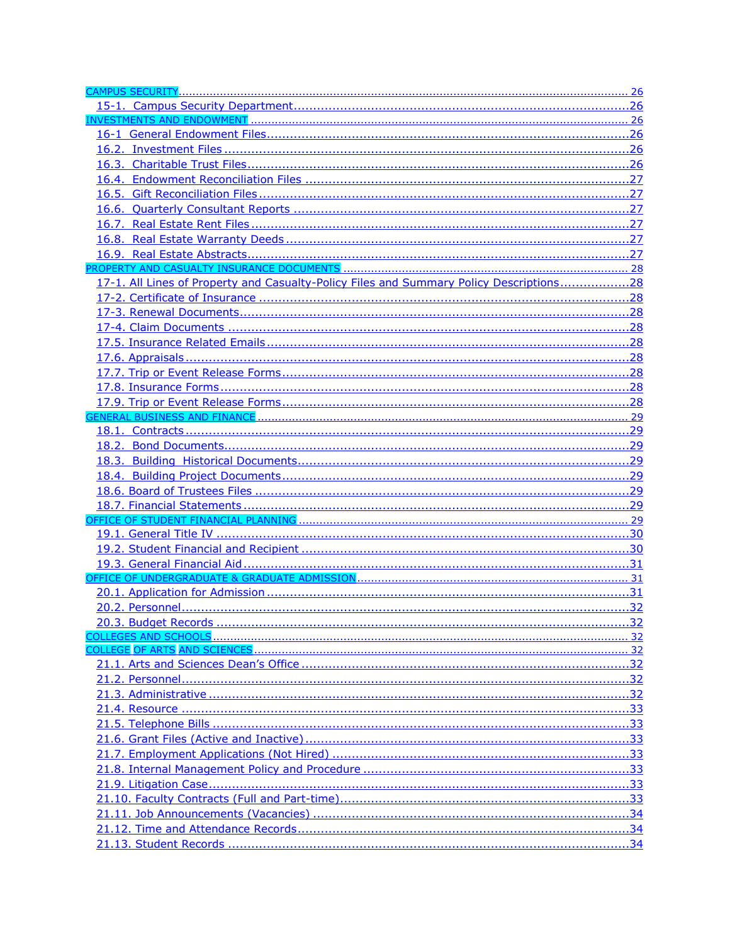| 17-1. All Lines of Property and Casualty-Policy Files and Summary Policy Descriptions28 |     |
|-----------------------------------------------------------------------------------------|-----|
|                                                                                         |     |
|                                                                                         |     |
|                                                                                         |     |
|                                                                                         |     |
|                                                                                         |     |
|                                                                                         |     |
|                                                                                         |     |
|                                                                                         |     |
|                                                                                         |     |
|                                                                                         |     |
|                                                                                         |     |
|                                                                                         |     |
|                                                                                         |     |
|                                                                                         |     |
|                                                                                         |     |
|                                                                                         |     |
|                                                                                         |     |
|                                                                                         |     |
|                                                                                         |     |
|                                                                                         |     |
|                                                                                         |     |
|                                                                                         |     |
|                                                                                         | .32 |
|                                                                                         |     |
|                                                                                         |     |
|                                                                                         |     |
|                                                                                         |     |
|                                                                                         |     |
|                                                                                         |     |
|                                                                                         |     |
|                                                                                         |     |
|                                                                                         |     |
|                                                                                         |     |
|                                                                                         |     |
|                                                                                         |     |
|                                                                                         |     |
|                                                                                         |     |
|                                                                                         |     |
|                                                                                         |     |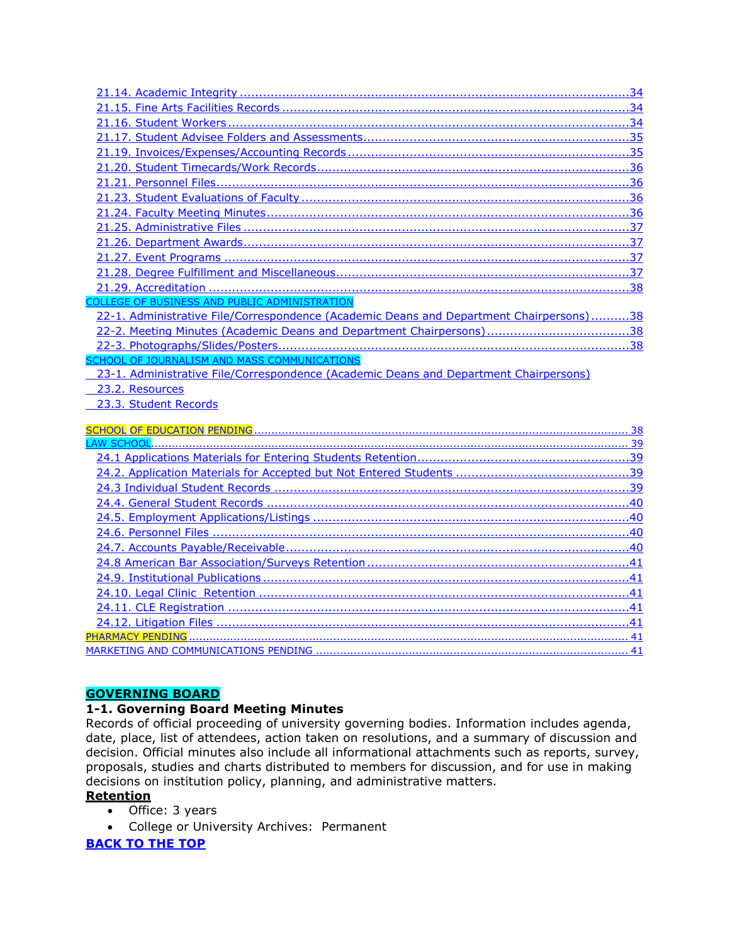| <b>COLLEGE OF BUSINESS AND PUBLIC ADMINISTRATION</b>                                    |
|-----------------------------------------------------------------------------------------|
| 22-1. Administrative File/Correspondence (Academic Deans and Department Chairpersons)38 |
|                                                                                         |
|                                                                                         |
| SCHOOL OF JOURNALISM AND MASS COMMUNICATIONS                                            |
| 23-1. Administrative File/Correspondence (Academic Deans and Department Chairpersons)   |
|                                                                                         |
| 23.2. Resources                                                                         |
| 23.3. Student Records                                                                   |
|                                                                                         |
|                                                                                         |
|                                                                                         |
|                                                                                         |
|                                                                                         |
|                                                                                         |
|                                                                                         |
|                                                                                         |
|                                                                                         |
|                                                                                         |
|                                                                                         |
|                                                                                         |
|                                                                                         |
|                                                                                         |
|                                                                                         |

# <span id="page-4-0"></span>**GOVERNING BOARD**

# <span id="page-4-1"></span>**1-1. Governing Board Meeting Minutes**

Records of official proceeding of university governing bodies. Information includes agenda, date, place, list of attendees, action taken on resolutions, and a summary of discussion and decision. Official minutes also include all informational attachments such as reports, survey, proposals, studies and charts distributed to members for discussion, and for use in making decisions on institution policy, planning, and administrative matters.

# **Retention**

- Office: 3 years
- College or University Archives: Permanent

# **[BACK TO THE TOP](#page-0-0)**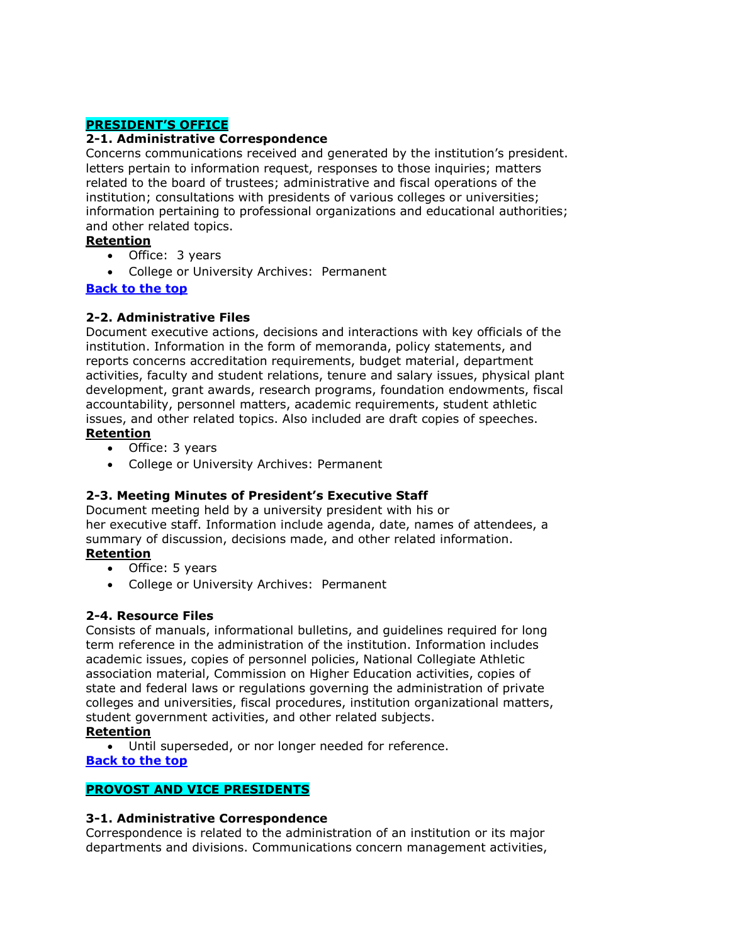# <span id="page-5-0"></span>**PRESIDENT'S OFFICE**

#### <span id="page-5-1"></span>**2-1. Administrative Correspondence**

Concerns communications received and generated by the institution's president. letters pertain to information request, responses to those inquiries; matters related to the board of trustees; administrative and fiscal operations of the institution; consultations with presidents of various colleges or universities; information pertaining to professional organizations and educational authorities; and other related topics.

#### **Retention**

- Office: 3 years
- College or University Archives: Permanent

# **Back [to the top](#page-0-0)**

# <span id="page-5-2"></span>**2-2. Administrative Files**

Document executive actions, decisions and interactions with key officials of the institution. Information in the form of memoranda, policy statements, and reports concerns accreditation requirements, budget material, department activities, faculty and student relations, tenure and salary issues, physical plant development, grant awards, research programs, foundation endowments, fiscal accountability, personnel matters, academic requirements, student athletic issues, and other related topics. Also included are draft copies of speeches. **Retention**

- Office: 3 years
- College or University Archives: Permanent

# <span id="page-5-3"></span>**2-3. Meeting Minutes of President's Executive Staff**

Document meeting held by a university president with his or her executive staff. Information include agenda, date, names of attendees, a summary of discussion, decisions made, and other related information. **Retention**

- Office: 5 years
- College or University Archives: Permanent

# <span id="page-5-4"></span>**2-4. Resource Files**

Consists of manuals, informational bulletins, and guidelines required for long term reference in the administration of the institution. Information includes academic issues, copies of personnel policies, National Collegiate Athletic association material, Commission on Higher Education activities, copies of state and federal laws or regulations governing the administration of private colleges and universities, fiscal procedures, institution organizational matters, student government activities, and other related subjects.

# **Retention**

Until superseded, or nor longer needed for reference.

#### **[Back to the top](#page-0-0)**

# <span id="page-5-5"></span>**PROVOST AND VICE PRESIDENTS**

# <span id="page-5-6"></span>**3-1. Administrative Correspondence**

Correspondence is related to the administration of an institution or its major departments and divisions. Communications concern management activities,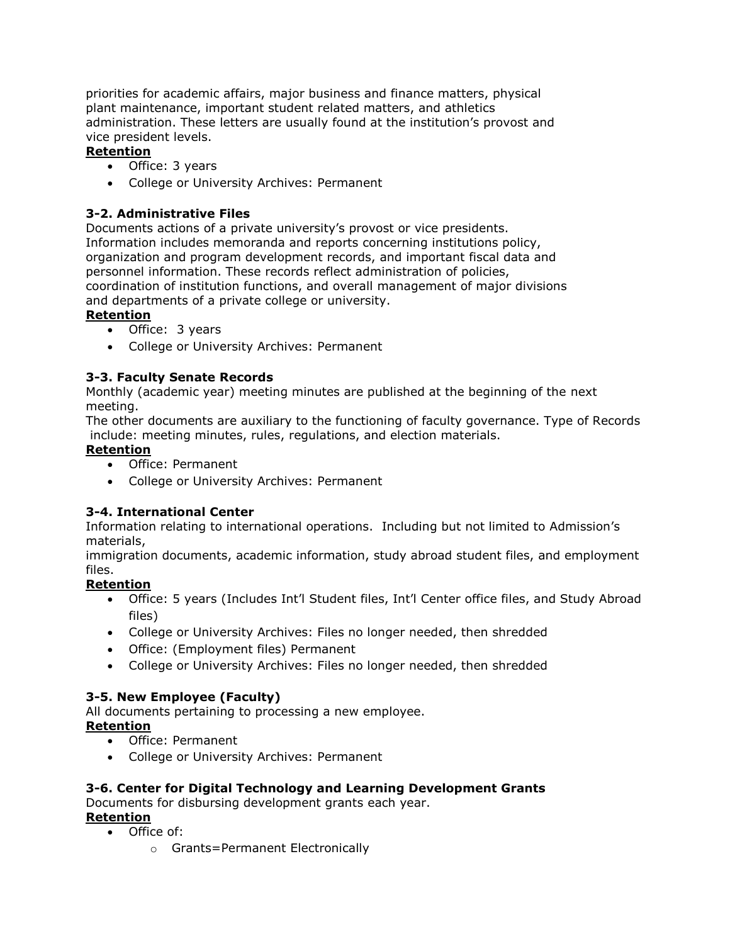priorities for academic affairs, major business and finance matters, physical plant maintenance, important student related matters, and athletics administration. These letters are usually found at the institution's provost and vice president levels.

# **Retention**

- Office: 3 years
- College or University Archives: Permanent

# <span id="page-6-0"></span>**3-2. Administrative Files**

Documents actions of a private university's provost or vice presidents. Information includes memoranda and reports concerning institutions policy, organization and program development records, and important fiscal data and personnel information. These records reflect administration of policies, coordination of institution functions, and overall management of major divisions and departments of a private college or university.

# **Retention**

- Office: 3 years
- College or University Archives: Permanent

# <span id="page-6-1"></span>**3-3. Faculty Senate Records**

Monthly (academic year) meeting minutes are published at the beginning of the next meeting.

The other documents are auxiliary to the functioning of faculty governance. Type of Records include: meeting minutes, rules, regulations, and election materials.

# **Retention**

- Office: Permanent
- College or University Archives: Permanent

# **3-4. International Center**

Information relating to international operations. Including but not limited to Admission's materials,

immigration documents, academic information, study abroad student files, and employment files.

# **Retention**

- Office: 5 years (Includes Int'l Student files, Int'l Center office files, and Study Abroad files)
- College or University Archives: Files no longer needed, then shredded
- Office: (Employment files) Permanent
- College or University Archives: Files no longer needed, then shredded

# <span id="page-6-2"></span>**3-5. New Employee (Faculty)**

All documents pertaining to processing a new employee.

# **Retention**

- Office: Permanent
- College or University Archives: Permanent

# <span id="page-6-3"></span>**3-6. Center for Digital Technology and Learning Development Grants** Documents for disbursing development grants each year.

# **Retention**

- Office of:
	- o Grants=Permanent Electronically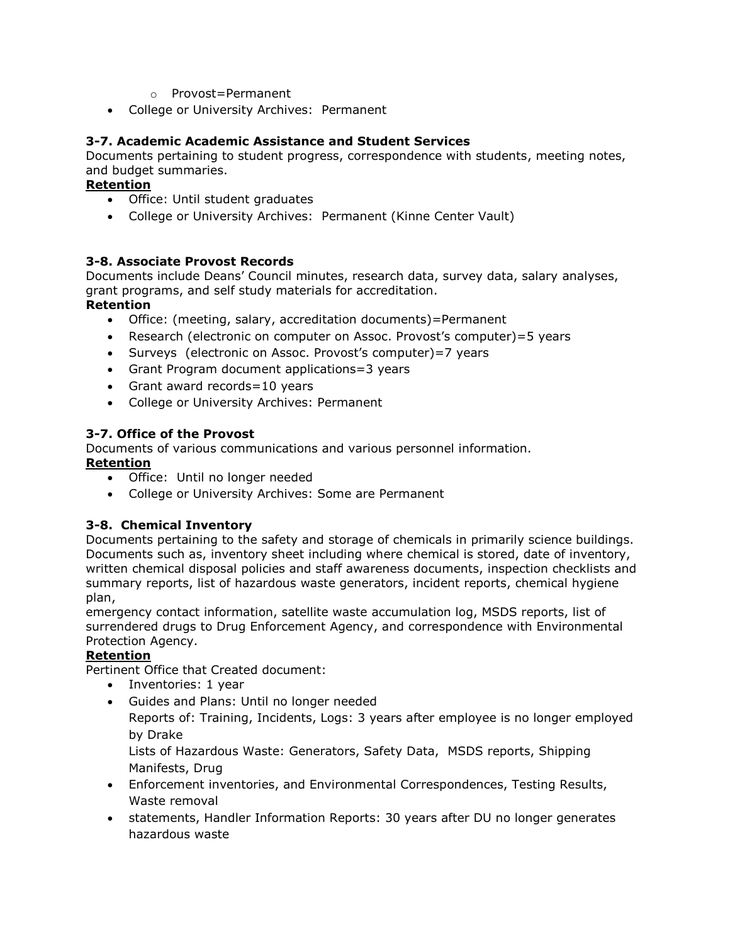- o Provost=Permanent
- College or University Archives: Permanent

#### <span id="page-7-0"></span>**3-7. Academic Academic Assistance and Student Services**

Documents pertaining to student progress, correspondence with students, meeting notes, and budget summaries.

#### **Retention**

- Office: Until student graduates
- College or University Archives: Permanent (Kinne Center Vault)

#### <span id="page-7-1"></span>**3-8. Associate Provost Records**

Documents include Deans' Council minutes, research data, survey data, salary analyses, grant programs, and self study materials for accreditation.

#### **Retention**

- Office: (meeting, salary, accreditation documents)=Permanent
- Research (electronic on computer on Assoc. Provost's computer)=5 years
- Surveys (electronic on Assoc. Provost's computer) = 7 years
- Grant Program document applications=3 years
- Grant award records=10 years
- College or University Archives: Permanent

#### <span id="page-7-2"></span>**3-7. Office of the Provost**

Documents of various communications and various personnel information.

#### **Retention**

- Office: Until no longer needed
- College or University Archives: Some are Permanent

# <span id="page-7-3"></span>**3-8. Chemical Inventory**

Documents pertaining to the safety and storage of chemicals in primarily science buildings. Documents such as, inventory sheet including where chemical is stored, date of inventory, written chemical disposal policies and staff awareness documents, inspection checklists and summary reports, list of hazardous waste generators, incident reports, chemical hygiene plan,

emergency contact information, satellite waste accumulation log, MSDS reports, list of surrendered drugs to Drug Enforcement Agency, and correspondence with Environmental Protection Agency.

#### **Retention**

Pertinent Office that Created document:

- Inventories: 1 year
- Guides and Plans: Until no longer needed

Reports of: Training, Incidents, Logs: 3 years after employee is no longer employed by Drake

Lists of Hazardous Waste: Generators, Safety Data, MSDS reports, Shipping Manifests, Drug

- Enforcement inventories, and Environmental Correspondences, Testing Results, Waste removal
- statements, Handler Information Reports: 30 years after DU no longer generates hazardous waste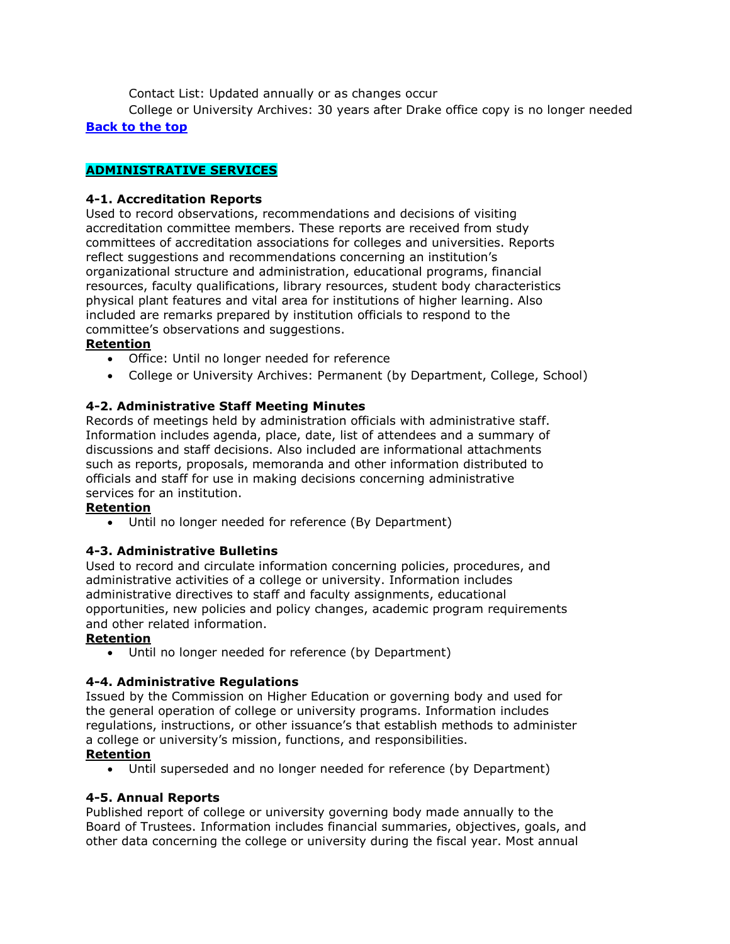Contact List: Updated annually or as changes occur

College or University Archives: 30 years after Drake office copy is no longer needed **[Back to the top](#page-0-0)**

# <span id="page-8-0"></span>**ADMINISTRATIVE SERVICES**

# <span id="page-8-1"></span>**4-1. Accreditation Reports**

Used to record observations, recommendations and decisions of visiting accreditation committee members. These reports are received from study committees of accreditation associations for colleges and universities. Reports reflect suggestions and recommendations concerning an institution's organizational structure and administration, educational programs, financial resources, faculty qualifications, library resources, student body characteristics physical plant features and vital area for institutions of higher learning. Also included are remarks prepared by institution officials to respond to the committee's observations and suggestions.

# **Retention**

- Office: Until no longer needed for reference
- College or University Archives: Permanent (by Department, College, School)

# <span id="page-8-2"></span>**4-2. Administrative Staff Meeting Minutes**

Records of meetings held by administration officials with administrative staff. Information includes agenda, place, date, list of attendees and a summary of discussions and staff decisions. Also included are informational attachments such as reports, proposals, memoranda and other information distributed to officials and staff for use in making decisions concerning administrative services for an institution.

# **Retention**

Until no longer needed for reference (By Department)

# <span id="page-8-3"></span>**4-3. Administrative Bulletins**

Used to record and circulate information concerning policies, procedures, and administrative activities of a college or university. Information includes administrative directives to staff and faculty assignments, educational opportunities, new policies and policy changes, academic program requirements and other related information.

# **Retention**

Until no longer needed for reference (by Department)

# <span id="page-8-4"></span>**4-4. Administrative Regulations**

Issued by the Commission on Higher Education or governing body and used for the general operation of college or university programs. Information includes regulations, instructions, or other issuance's that establish methods to administer a college or university's mission, functions, and responsibilities.

# **Retention**

Until superseded and no longer needed for reference (by Department)

# <span id="page-8-5"></span>**4-5. Annual Reports**

Published report of college or university governing body made annually to the Board of Trustees. Information includes financial summaries, objectives, goals, and other data concerning the college or university during the fiscal year. Most annual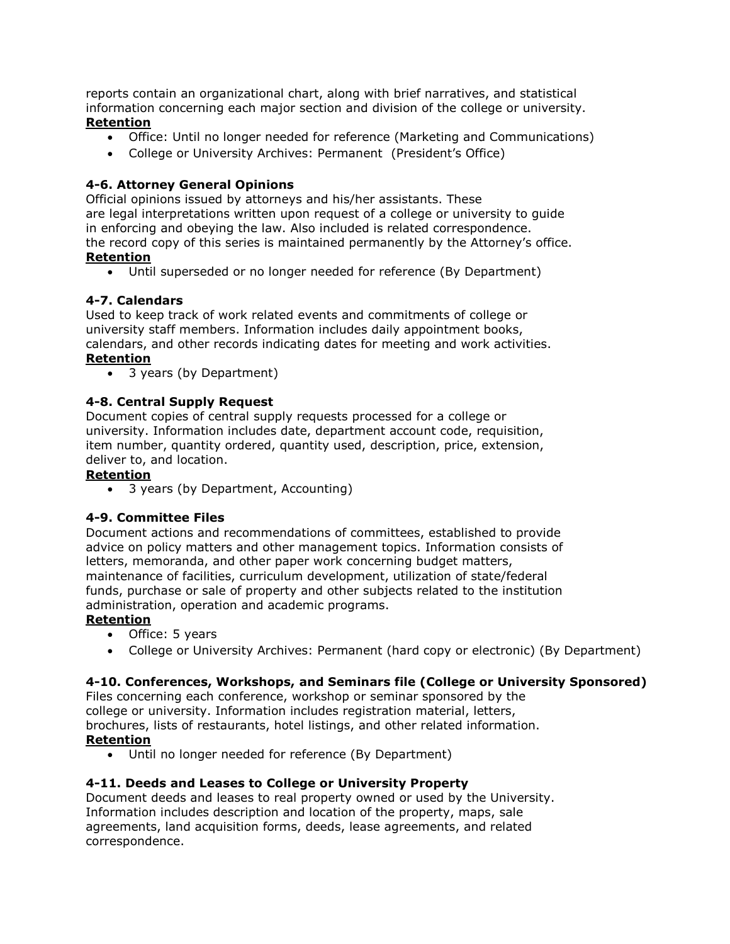reports contain an organizational chart, along with brief narratives, and statistical information concerning each major section and division of the college or university. **Retention**

- Office: Until no longer needed for reference (Marketing and Communications)
- College or University Archives: Permanent (President's Office)

# <span id="page-9-0"></span>**4-6. Attorney General Opinions**

Official opinions issued by attorneys and his/her assistants. These are legal interpretations written upon request of a college or university to guide in enforcing and obeying the law. Also included is related correspondence. the record copy of this series is maintained permanently by the Attorney's office. **Retention**

Until superseded or no longer needed for reference (By Department)

# <span id="page-9-1"></span>**4-7. Calendars**

Used to keep track of work related events and commitments of college or university staff members. Information includes daily appointment books, calendars, and other records indicating dates for meeting and work activities. **Retention**

3 years (by Department)

# <span id="page-9-2"></span>**4-8. Central Supply Request**

Document copies of central supply requests processed for a college or university. Information includes date, department account code, requisition, item number, quantity ordered, quantity used, description, price, extension, deliver to, and location.

# **Retention**

3 years (by Department, Accounting)

# <span id="page-9-3"></span>**4-9. Committee Files**

Document actions and recommendations of committees, established to provide advice on policy matters and other management topics. Information consists of letters, memoranda, and other paper work concerning budget matters, maintenance of facilities, curriculum development, utilization of state/federal funds, purchase or sale of property and other subjects related to the institution administration, operation and academic programs.

# **Retention**

- Office: 5 years
- College or University Archives: Permanent (hard copy or electronic) (By Department)

# <span id="page-9-4"></span>**4-10. Conferences, Workshops, and Seminars file (College or University Sponsored)**

Files concerning each conference, workshop or seminar sponsored by the college or university. Information includes registration material, letters, brochures, lists of restaurants, hotel listings, and other related information. **Retention**

Until no longer needed for reference (By Department)

# <span id="page-9-5"></span>**4-11. Deeds and Leases to College or University Property**

Document deeds and leases to real property owned or used by the University. Information includes description and location of the property, maps, sale agreements, land acquisition forms, deeds, lease agreements, and related correspondence.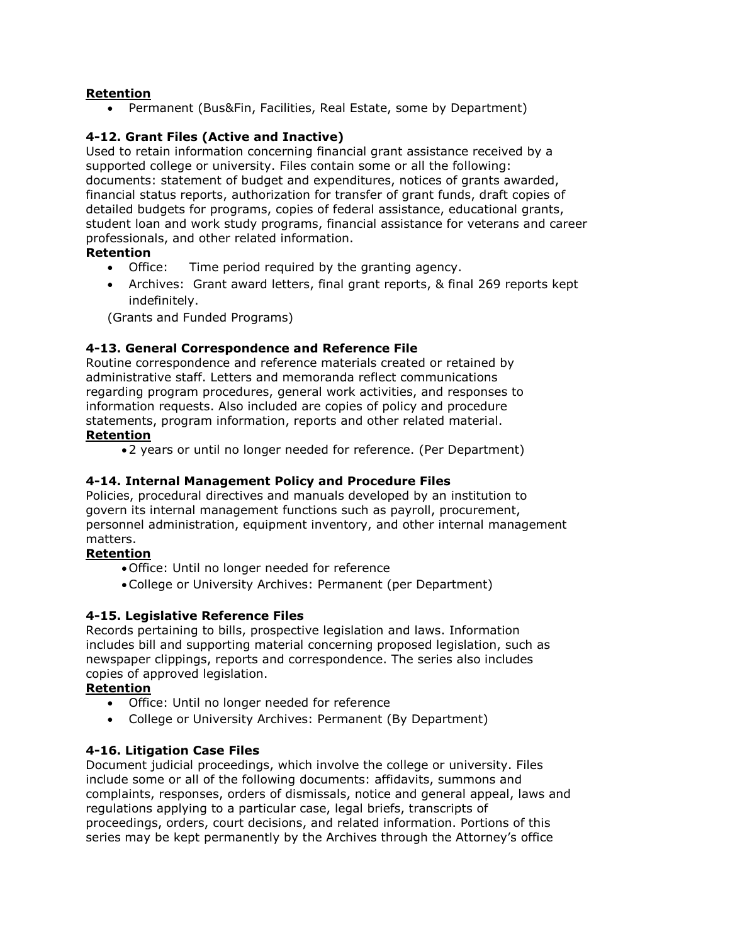#### **Retention**

Permanent (Bus&Fin, Facilities, Real Estate, some by Department)

# <span id="page-10-0"></span>**4-12. Grant Files (Active and Inactive)**

Used to retain information concerning financial grant assistance received by a supported college or university. Files contain some or all the following: documents: statement of budget and expenditures, notices of grants awarded, financial status reports, authorization for transfer of grant funds, draft copies of detailed budgets for programs, copies of federal assistance, educational grants, student loan and work study programs, financial assistance for veterans and career professionals, and other related information.

#### **Retention**

- Office: Time period required by the granting agency.
- Archives: Grant award letters, final grant reports, & final 269 reports kept indefinitely.

(Grants and Funded Programs)

#### <span id="page-10-1"></span>**4-13. General Correspondence and Reference File**

Routine correspondence and reference materials created or retained by administrative staff. Letters and memoranda reflect communications regarding program procedures, general work activities, and responses to information requests. Also included are copies of policy and procedure statements, program information, reports and other related material. **Retention**

2 years or until no longer needed for reference. (Per Department)

# <span id="page-10-2"></span>**4-14. Internal Management Policy and Procedure Files**

Policies, procedural directives and manuals developed by an institution to govern its internal management functions such as payroll, procurement, personnel administration, equipment inventory, and other internal management matters.

#### **Retention**

Office: Until no longer needed for reference

College or University Archives: Permanent (per Department)

# <span id="page-10-3"></span>**4-15. Legislative Reference Files**

Records pertaining to bills, prospective legislation and laws. Information includes bill and supporting material concerning proposed legislation, such as newspaper clippings, reports and correspondence. The series also includes copies of approved legislation.

#### **Retention**

- Office: Until no longer needed for reference
- College or University Archives: Permanent (By Department)

#### <span id="page-10-4"></span>**4-16. Litigation Case Files**

Document judicial proceedings, which involve the college or university. Files include some or all of the following documents: affidavits, summons and complaints, responses, orders of dismissals, notice and general appeal, laws and regulations applying to a particular case, legal briefs, transcripts of proceedings, orders, court decisions, and related information. Portions of this series may be kept permanently by the Archives through the Attorney's office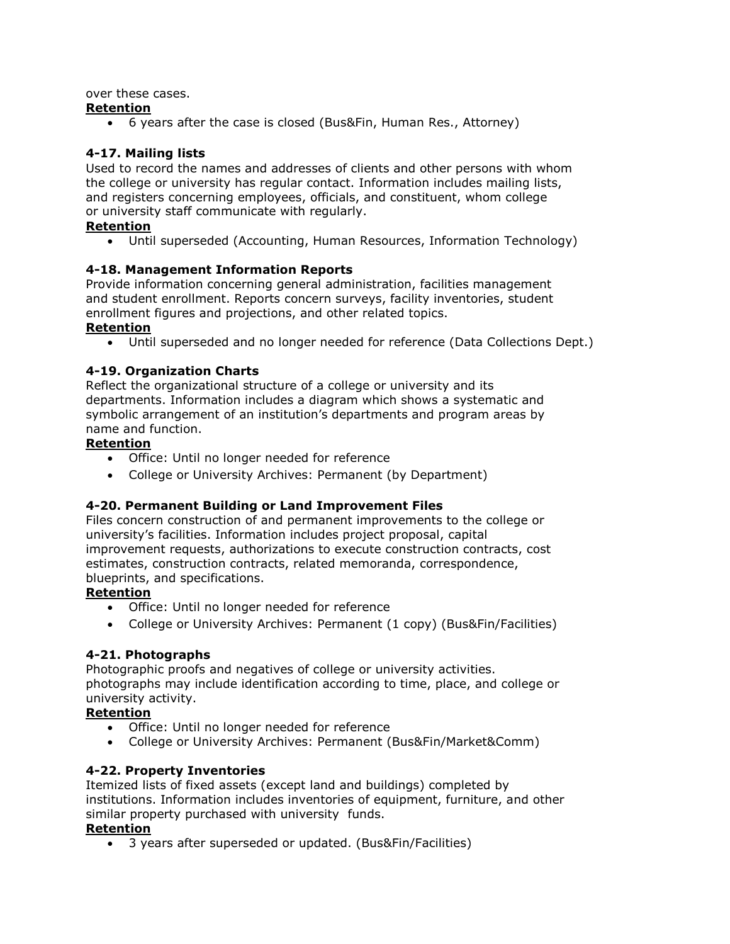over these cases.

# **Retention**

6 years after the case is closed (Bus&Fin, Human Res., Attorney)

# <span id="page-11-0"></span>**4-17. Mailing lists**

Used to record the names and addresses of clients and other persons with whom the college or university has regular contact. Information includes mailing lists, and registers concerning employees, officials, and constituent, whom college or university staff communicate with regularly.

# **Retention**

Until superseded (Accounting, Human Resources, Information Technology)

# <span id="page-11-1"></span>**4-18. Management Information Reports**

Provide information concerning general administration, facilities management and student enrollment. Reports concern surveys, facility inventories, student enrollment figures and projections, and other related topics.

# **Retention**

Until superseded and no longer needed for reference (Data Collections Dept.)

# <span id="page-11-2"></span>**4-19. Organization Charts**

Reflect the organizational structure of a college or university and its departments. Information includes a diagram which shows a systematic and symbolic arrangement of an institution's departments and program areas by name and function.

# **Retention**

- Office: Until no longer needed for reference
- College or University Archives: Permanent (by Department)

# **4-20. Permanent Building or Land Improvement Files**

Files concern construction of and permanent improvements to the college or university's facilities. Information includes project proposal, capital improvement requests, authorizations to execute construction contracts, cost estimates, construction contracts, related memoranda, correspondence, blueprints, and specifications.

# **Retention**

- Office: Until no longer needed for reference
- College or University Archives: Permanent (1 copy) (Bus&Fin/Facilities)

# <span id="page-11-3"></span>**4-21. Photographs**

Photographic proofs and negatives of college or university activities. photographs may include identification according to time, place, and college or university activity.

# **Retention**

- Office: Until no longer needed for reference
- College or University Archives: Permanent (Bus&Fin/Market&Comm)

# <span id="page-11-4"></span>**4-22. Property Inventories**

Itemized lists of fixed assets (except land and buildings) completed by institutions. Information includes inventories of equipment, furniture, and other similar property purchased with university funds.

#### **Retention**

3 years after superseded or updated. (Bus&Fin/Facilities)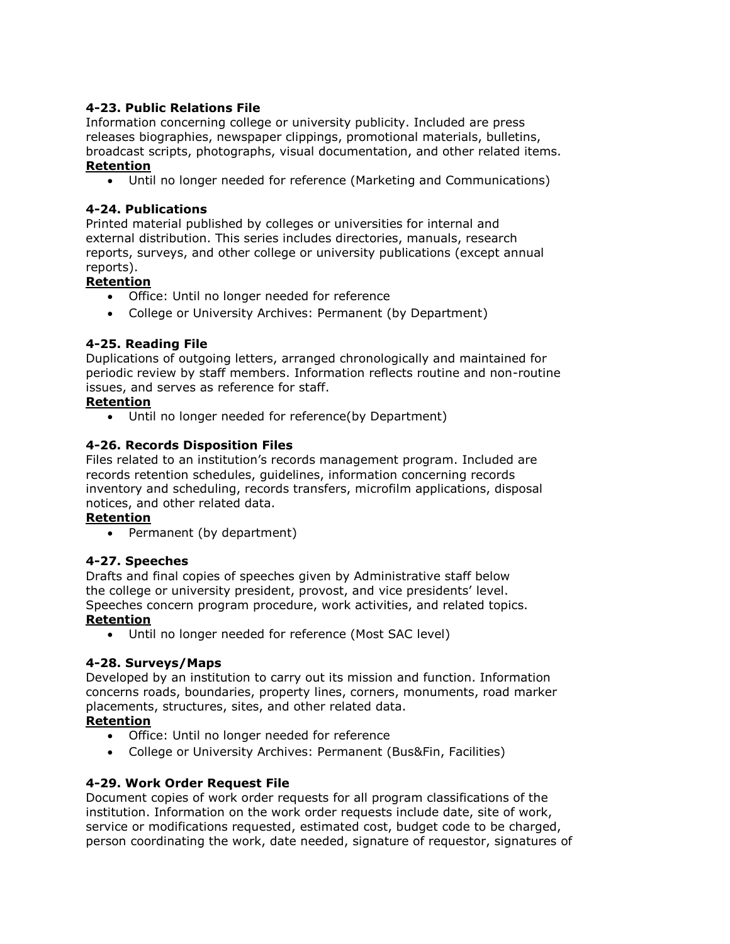# <span id="page-12-0"></span>**4-23. Public Relations File**

Information concerning college or university publicity. Included are press releases biographies, newspaper clippings, promotional materials, bulletins, broadcast scripts, photographs, visual documentation, and other related items. **Retention**

# Until no longer needed for reference (Marketing and Communications)

#### <span id="page-12-1"></span>**4-24. Publications**

Printed material published by colleges or universities for internal and external distribution. This series includes directories, manuals, research reports, surveys, and other college or university publications (except annual reports).

# **Retention**

- Office: Until no longer needed for reference
- College or University Archives: Permanent (by Department)

#### <span id="page-12-2"></span>**4-25. Reading File**

Duplications of outgoing letters, arranged chronologically and maintained for periodic review by staff members. Information reflects routine and non-routine issues, and serves as reference for staff.

#### **Retention**

Until no longer needed for reference(by Department)

# <span id="page-12-3"></span>**4-26. Records Disposition Files**

Files related to an institution's records management program. Included are records retention schedules, guidelines, information concerning records inventory and scheduling, records transfers, microfilm applications, disposal notices, and other related data.

#### **Retention**

• Permanent (by department)

# <span id="page-12-4"></span>**4-27. Speeches**

Drafts and final copies of speeches given by Administrative staff below the college or university president, provost, and vice presidents' level. Speeches concern program procedure, work activities, and related topics.

#### **Retention**

Until no longer needed for reference (Most SAC level)

# <span id="page-12-5"></span>**4-28. Surveys/Maps**

Developed by an institution to carry out its mission and function. Information concerns roads, boundaries, property lines, corners, monuments, road marker placements, structures, sites, and other related data.

#### **Retention**

- Office: Until no longer needed for reference
- College or University Archives: Permanent (Bus&Fin, Facilities)

# <span id="page-12-6"></span>**4-29. Work Order Request File**

Document copies of work order requests for all program classifications of the institution. Information on the work order requests include date, site of work, service or modifications requested, estimated cost, budget code to be charged, person coordinating the work, date needed, signature of requestor, signatures of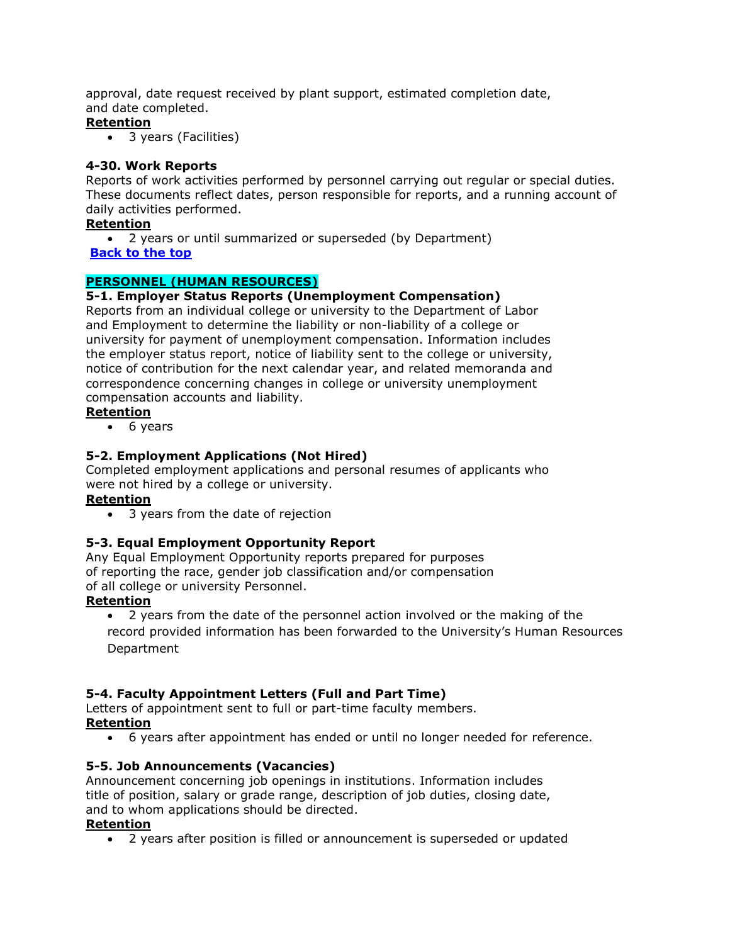approval, date request received by plant support, estimated completion date, and date completed.

# **Retention**

3 years (Facilities)

# <span id="page-13-0"></span>**4-30. Work Reports**

Reports of work activities performed by personnel carrying out regular or special duties. These documents reflect dates, person responsible for reports, and a running account of daily activities performed.

# **Retention**

2 years or until summarized or superseded (by Department)

# **[Back to the top](#page-0-0)**

# <span id="page-13-1"></span>**PERSONNEL (HUMAN RESOURCES)**

# <span id="page-13-2"></span>**5-1. Employer Status Reports (Unemployment Compensation)**

Reports from an individual college or university to the Department of Labor and Employment to determine the liability or non-liability of a college or university for payment of unemployment compensation. Information includes the employer status report, notice of liability sent to the college or university, notice of contribution for the next calendar year, and related memoranda and correspondence concerning changes in college or university unemployment compensation accounts and liability.

#### **Retention**

• 6 years

# <span id="page-13-3"></span>**5-2. Employment Applications (Not Hired)**

Completed employment applications and personal resumes of applicants who were not hired by a college or university.

# **Retention**

• 3 years from the date of rejection

# <span id="page-13-4"></span>**5-3. Equal Employment Opportunity Report**

Any Equal Employment Opportunity reports prepared for purposes of reporting the race, gender job classification and/or compensation of all college or university Personnel.

# **Retention**

 2 years from the date of the personnel action involved or the making of the record provided information has been forwarded to the University's Human Resources Department

# <span id="page-13-5"></span>**5-4. Faculty Appointment Letters (Full and Part Time)**

Letters of appointment sent to full or part-time faculty members.

# **Retention**

6 years after appointment has ended or until no longer needed for reference.

# <span id="page-13-6"></span>**5-5. Job Announcements (Vacancies)**

Announcement concerning job openings in institutions. Information includes title of position, salary or grade range, description of job duties, closing date, and to whom applications should be directed.

# **Retention**

2 years after position is filled or announcement is superseded or updated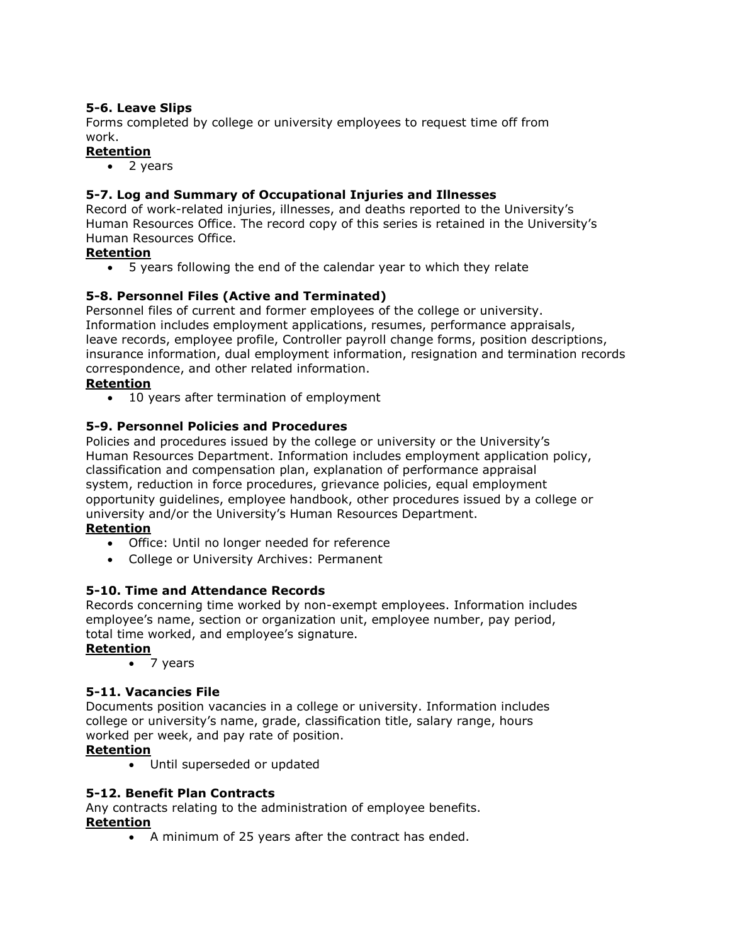# <span id="page-14-0"></span>**5-6. Leave Slips**

Forms completed by college or university employees to request time off from work.

# **Retention**

• 2 years

# <span id="page-14-1"></span>**5-7. Log and Summary of Occupational Injuries and Illnesses**

Record of work-related injuries, illnesses, and deaths reported to the University's Human Resources Office. The record copy of this series is retained in the University's Human Resources Office.

#### **Retention**

5 years following the end of the calendar year to which they relate

# <span id="page-14-2"></span>**5-8. Personnel Files (Active and Terminated)**

Personnel files of current and former employees of the college or university. Information includes employment applications, resumes, performance appraisals, leave records, employee profile, Controller payroll change forms, position descriptions, insurance information, dual employment information, resignation and termination records correspondence, and other related information.

# **Retention**

10 years after termination of employment

# <span id="page-14-3"></span>**5-9. Personnel Policies and Procedures**

Policies and procedures issued by the college or university or the University's Human Resources Department. Information includes employment application policy, classification and compensation plan, explanation of performance appraisal system, reduction in force procedures, grievance policies, equal employment opportunity guidelines, employee handbook, other procedures issued by a college or university and/or the University's Human Resources Department.

# **Retention**

- Office: Until no longer needed for reference
- College or University Archives: Permanent

# <span id="page-14-4"></span>**5-10. Time and Attendance Records**

Records concerning time worked by non-exempt employees. Information includes employee's name, section or organization unit, employee number, pay period, total time worked, and employee's signature.

# **Retention**

• 7 years

# <span id="page-14-5"></span>**5-11. Vacancies File**

Documents position vacancies in a college or university. Information includes college or university's name, grade, classification title, salary range, hours worked per week, and pay rate of position.

# **Retention**

Until superseded or updated

# <span id="page-14-6"></span>**5-12. Benefit Plan Contracts**

Any contracts relating to the administration of employee benefits.

#### **Retention**

A minimum of 25 years after the contract has ended.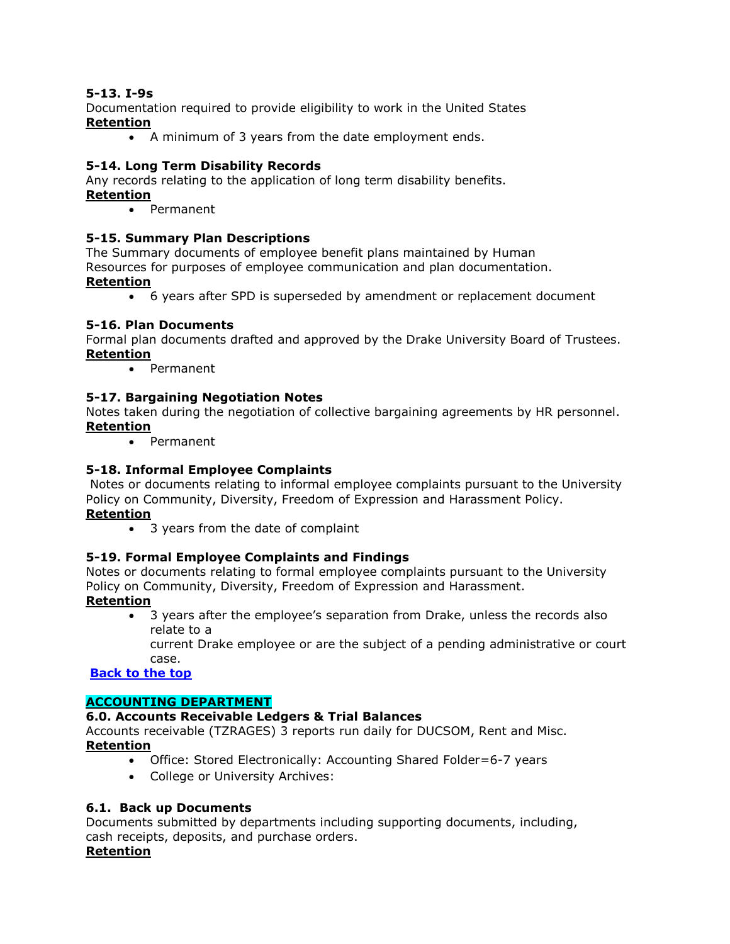# <span id="page-15-0"></span>**5-13. I-9s**

Documentation required to provide eligibility to work in the United States **Retention**

A minimum of 3 years from the date employment ends.

#### <span id="page-15-1"></span>**5-14. Long Term Disability Records**

Any records relating to the application of long term disability benefits. **Retention**

• Permanent

#### <span id="page-15-2"></span>**5-15. Summary Plan Descriptions**

The Summary documents of employee benefit plans maintained by Human Resources for purposes of employee communication and plan documentation. **Retention**

6 years after SPD is superseded by amendment or replacement document

#### <span id="page-15-3"></span>**5-16. Plan Documents**

Formal plan documents drafted and approved by the Drake University Board of Trustees. **Retention**

Permanent

#### <span id="page-15-4"></span>**5-17. Bargaining Negotiation Notes**

Notes taken during the negotiation of collective bargaining agreements by HR personnel. **Retention**

Permanent

#### <span id="page-15-5"></span>**5-18. Informal Employee Complaints**

Notes or documents relating to informal employee complaints pursuant to the University Policy on Community, Diversity, Freedom of Expression and Harassment Policy. **Retention**

• 3 years from the date of complaint

#### <span id="page-15-6"></span>**5-19. Formal Employee Complaints and Findings**

Notes or documents relating to formal employee complaints pursuant to the University Policy on Community, Diversity, Freedom of Expression and Harassment.

#### **Retention**

 3 years after the employee's separation from Drake, unless the records also relate to a

current Drake employee or are the subject of a pending administrative or court case.

**[Back to the top](#page-0-0)**

#### <span id="page-15-7"></span>**ACCOUNTING DEPARTMENT**

#### <span id="page-15-8"></span>**6.0. Accounts Receivable Ledgers & Trial Balances**

Accounts receivable (TZRAGES) 3 reports run daily for DUCSOM, Rent and Misc. **Retention**

- Office: Stored Electronically: Accounting Shared Folder=6-7 years
- College or University Archives:

#### <span id="page-15-9"></span>**6.1. Back up Documents**

Documents submitted by departments including supporting documents, including, cash receipts, deposits, and purchase orders.

#### **Retention**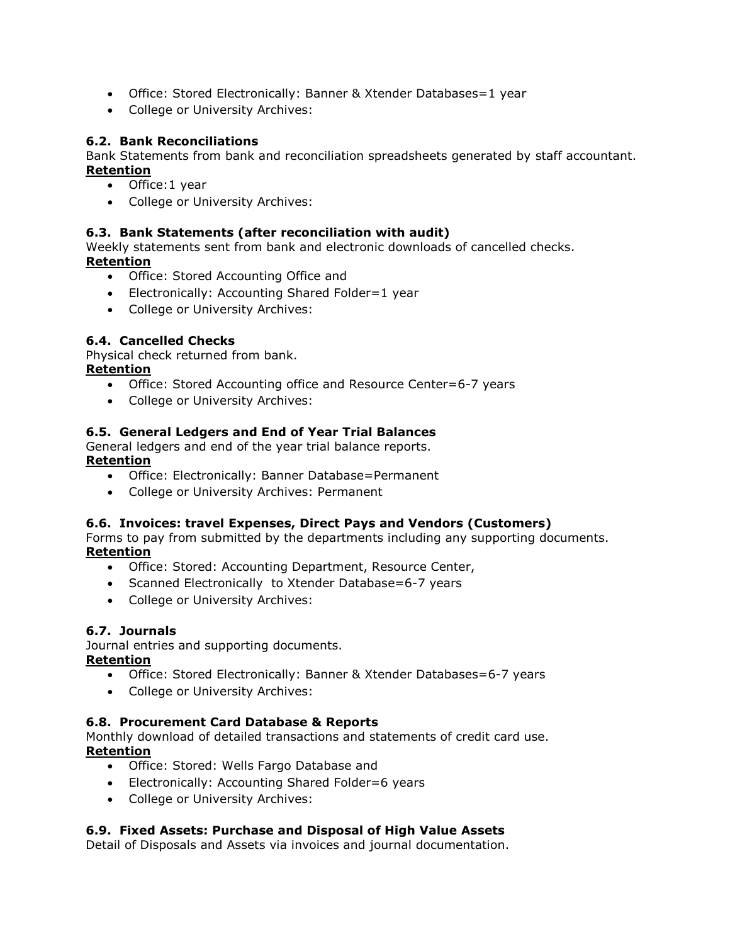- Office: Stored Electronically: Banner & Xtender Databases=1 year
- College or University Archives:

#### <span id="page-16-0"></span>**6.2. Bank Reconciliations**

Bank Statements from bank and reconciliation spreadsheets generated by staff accountant. **Retention**

- Office: 1 year
- College or University Archives:

#### <span id="page-16-1"></span>**6.3. Bank Statements (after reconciliation with audit)**

Weekly statements sent from bank and electronic downloads of cancelled checks. **Retention**

- Office: Stored Accounting Office and
- Electronically: Accounting Shared Folder=1 year
- College or University Archives:

#### <span id="page-16-2"></span>**6.4. Cancelled Checks**

Physical check returned from bank.

#### **Retention**

- Office: Stored Accounting office and Resource Center=6-7 years
- College or University Archives:

#### <span id="page-16-3"></span>**6.5. General Ledgers and End of Year Trial Balances**

General ledgers and end of the year trial balance reports. **Retention**

- Office: Electronically: Banner Database=Permanent
- College or University Archives: Permanent

#### <span id="page-16-4"></span>**6.6. Invoices: travel Expenses, Direct Pays and Vendors (Customers)**

Forms to pay from submitted by the departments including any supporting documents. **Retention**

- Office: Stored: Accounting Department, Resource Center,
- Scanned Electronically to Xtender Database=6-7 years
- College or University Archives:

#### <span id="page-16-5"></span>**6.7. Journals**

Journal entries and supporting documents.

#### **Retention**

- Office: Stored Electronically: Banner & Xtender Databases=6-7 years
- College or University Archives:

#### <span id="page-16-6"></span>**6.8. Procurement Card Database & Reports**

Monthly download of detailed transactions and statements of credit card use. **Retention**

- Office: Stored: Wells Fargo Database and
- Electronically: Accounting Shared Folder=6 years
- College or University Archives:

#### <span id="page-16-7"></span>**6.9. Fixed Assets: Purchase and Disposal of High Value Assets**

Detail of Disposals and Assets via invoices and journal documentation.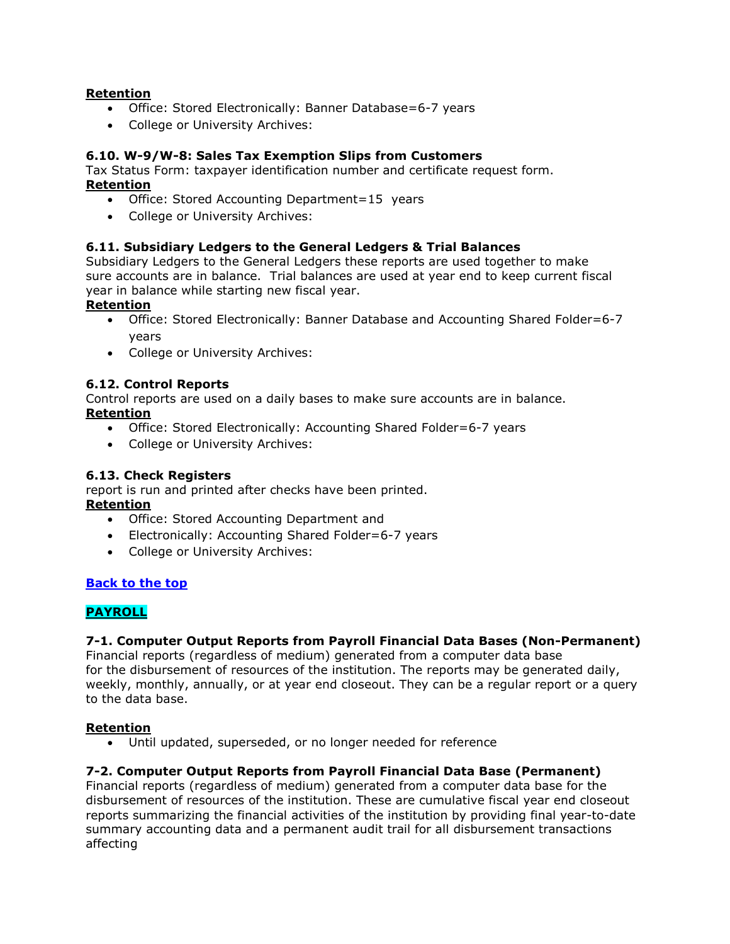#### **Retention**

- Office: Stored Electronically: Banner Database=6-7 years
- College or University Archives:

#### <span id="page-17-0"></span>**6.10. W-9/W-8: Sales Tax Exemption Slips from Customers**

Tax Status Form: taxpayer identification number and certificate request form. **Retention**

- Office: Stored Accounting Department=15 years
- College or University Archives:

#### <span id="page-17-1"></span>**6.11. Subsidiary Ledgers to the General Ledgers & Trial Balances**

Subsidiary Ledgers to the General Ledgers these reports are used together to make sure accounts are in balance. Trial balances are used at year end to keep current fiscal year in balance while starting new fiscal year.

#### **Retention**

- Office: Stored Electronically: Banner Database and Accounting Shared Folder=6-7 years
- College or University Archives:

#### <span id="page-17-2"></span>**6.12. Control Reports**

Control reports are used on a daily bases to make sure accounts are in balance. **Retention**

- Office: Stored Electronically: Accounting Shared Folder=6-7 years
- College or University Archives:

#### <span id="page-17-3"></span>**6.13. Check Registers**

report is run and printed after checks have been printed. **Retention**

- Office: Stored Accounting Department and
- Electronically: Accounting Shared Folder=6-7 years
- College or University Archives:

# **[Back to the top](#page-0-0)**

# <span id="page-17-4"></span>**PAYROLL**

#### <span id="page-17-5"></span>**7-1. Computer Output Reports from Payroll Financial Data Bases (Non-Permanent)**

Financial reports (regardless of medium) generated from a computer data base for the disbursement of resources of the institution. The reports may be generated daily, weekly, monthly, annually, or at year end closeout. They can be a regular report or a query to the data base.

#### **Retention**

Until updated, superseded, or no longer needed for reference

#### <span id="page-17-6"></span>**7-2. Computer Output Reports from Payroll Financial Data Base (Permanent)**

Financial reports (regardless of medium) generated from a computer data base for the disbursement of resources of the institution. These are cumulative fiscal year end closeout reports summarizing the financial activities of the institution by providing final year-to-date summary accounting data and a permanent audit trail for all disbursement transactions affecting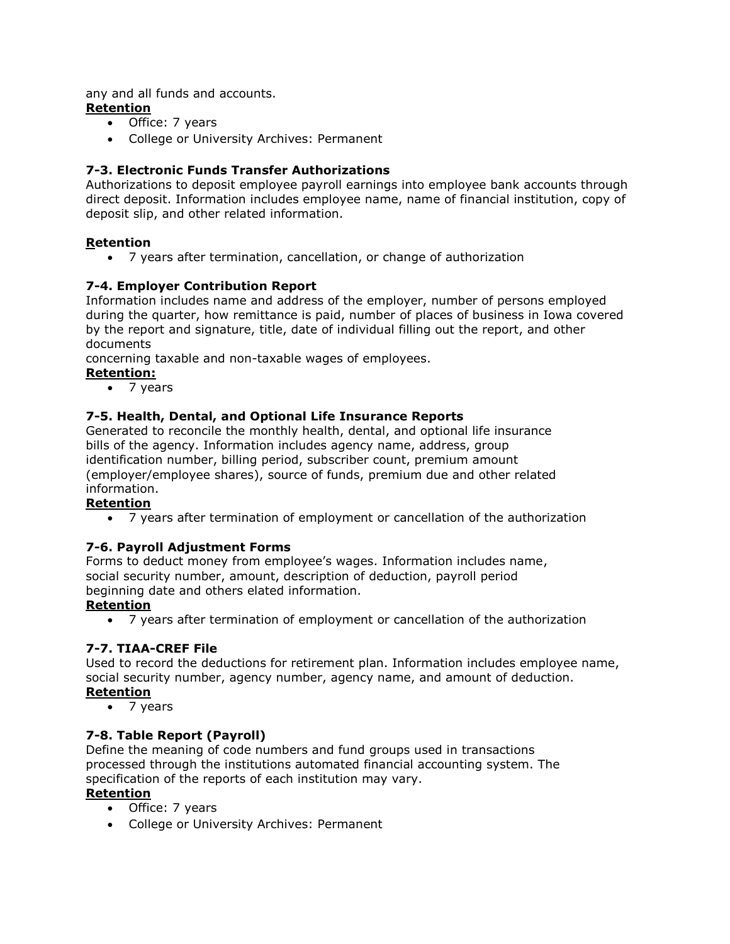any and all funds and accounts.

# **Retention**

- Office: 7 years
- College or University Archives: Permanent

# <span id="page-18-0"></span>**7-3. Electronic Funds Transfer Authorizations**

Authorizations to deposit employee payroll earnings into employee bank accounts through direct deposit. Information includes employee name, name of financial institution, copy of deposit slip, and other related information.

# **Retention**

7 years after termination, cancellation, or change of authorization

# <span id="page-18-1"></span>**7-4. Employer Contribution Report**

Information includes name and address of the employer, number of persons employed during the quarter, how remittance is paid, number of places of business in Iowa covered by the report and signature, title, date of individual filling out the report, and other documents

concerning taxable and non-taxable wages of employees.

**Retention:**

• 7 years

# <span id="page-18-2"></span>**7-5. Health, Dental, and Optional Life Insurance Reports**

Generated to reconcile the monthly health, dental, and optional life insurance bills of the agency. Information includes agency name, address, group identification number, billing period, subscriber count, premium amount (employer/employee shares), source of funds, premium due and other related information.

# **Retention**

7 years after termination of employment or cancellation of the authorization

# <span id="page-18-3"></span>**7-6. Payroll Adjustment Forms**

Forms to deduct money from employee's wages. Information includes name, social security number, amount, description of deduction, payroll period beginning date and others elated information.

# **Retention**

7 years after termination of employment or cancellation of the authorization

# <span id="page-18-4"></span>**7-7. TIAA-CREF File**

Used to record the deductions for retirement plan. Information includes employee name, social security number, agency number, agency name, and amount of deduction.

# **Retention**

• 7 years

# <span id="page-18-5"></span>**7-8. Table Report (Payroll)**

Define the meaning of code numbers and fund groups used in transactions processed through the institutions automated financial accounting system. The specification of the reports of each institution may vary.

# **Retention**

- Office: 7 years
- College or University Archives: Permanent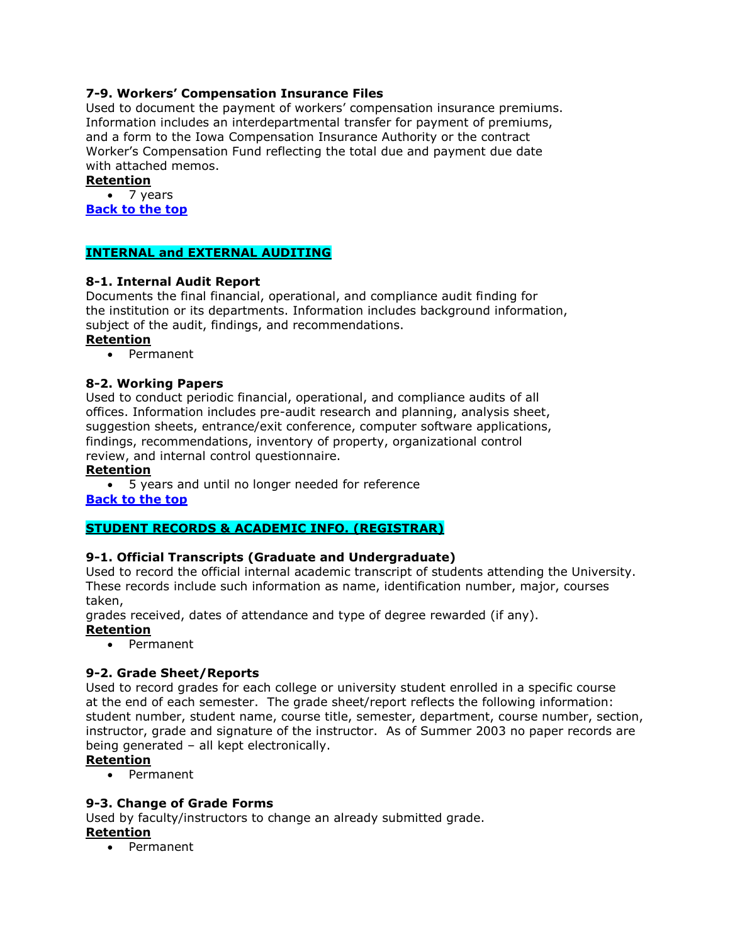# <span id="page-19-0"></span>**7-9. Workers' Compensation Insurance Files**

Used to document the payment of workers' compensation insurance premiums. Information includes an interdepartmental transfer for payment of premiums, and a form to the Iowa Compensation Insurance Authority or the contract Worker's Compensation Fund reflecting the total due and payment due date with attached memos.

#### **Retention**

• 7 years **[Back to the top](#page-0-0)**

# <span id="page-19-1"></span>**INTERNAL and EXTERNAL AUDITING**

#### <span id="page-19-2"></span>**8-1. Internal Audit Report**

Documents the final financial, operational, and compliance audit finding for the institution or its departments. Information includes background information, subject of the audit, findings, and recommendations.

#### **Retention**

Permanent

#### <span id="page-19-3"></span>**8-2. Working Papers**

Used to conduct periodic financial, operational, and compliance audits of all offices. Information includes pre-audit research and planning, analysis sheet, suggestion sheets, entrance/exit conference, computer software applications, findings, recommendations, inventory of property, organizational control review, and internal control questionnaire.

#### **Retention**

 5 years and until no longer needed for reference **[Back to the top](#page-0-0)**

# <span id="page-19-4"></span>**STUDENT RECORDS & ACADEMIC INFO. (REGISTRAR)**

# <span id="page-19-5"></span>**9-1. Official Transcripts (Graduate and Undergraduate)**

Used to record the official internal academic transcript of students attending the University. These records include such information as name, identification number, major, courses taken,

grades received, dates of attendance and type of degree rewarded (if any). **Retention**

Permanent

# **9-2. Grade Sheet/Reports**

Used to record grades for each college or university student enrolled in a specific course at the end of each semester. The grade sheet/report reflects the following information: student number, student name, course title, semester, department, course number, section, instructor, grade and signature of the instructor. As of Summer 2003 no paper records are being generated – all kept electronically.

#### **Retention**

• Permanent

#### <span id="page-19-6"></span>**9-3. Change of Grade Forms**

Used by faculty/instructors to change an already submitted grade.

# **Retention**

• Permanent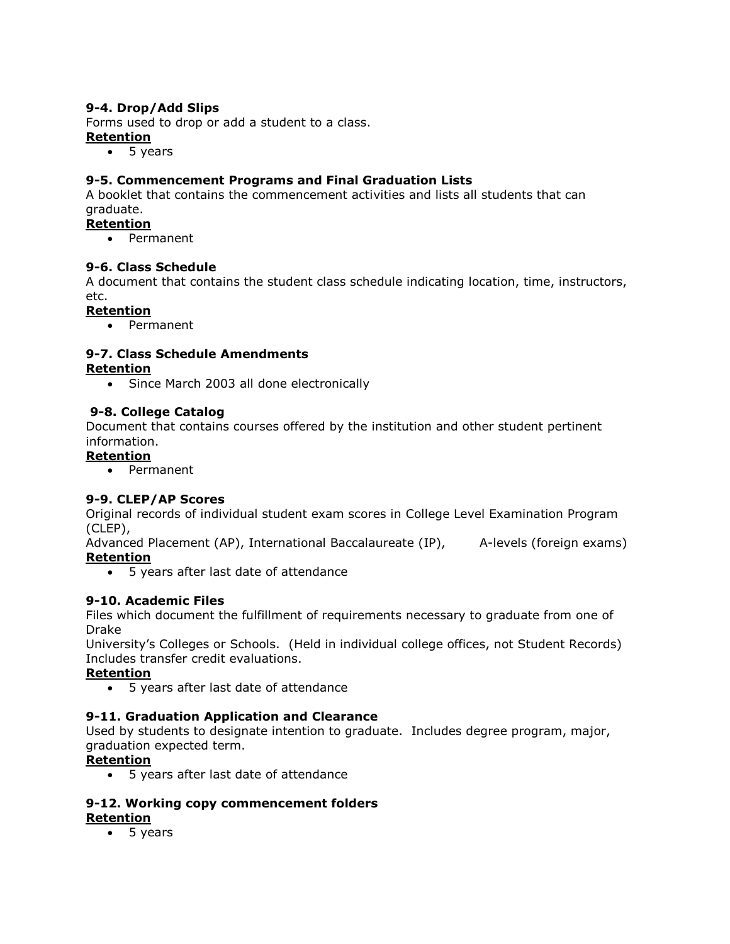# <span id="page-20-0"></span>**9-4. Drop/Add Slips**

Forms used to drop or add a student to a class.

# **Retention**

 $-5$  years

# <span id="page-20-1"></span>**9-5. Commencement Programs and Final Graduation Lists**

A booklet that contains the commencement activities and lists all students that can graduate.

#### **Retention**

• Permanent

#### <span id="page-20-2"></span>**9-6. Class Schedule**

A document that contains the student class schedule indicating location, time, instructors, etc.

#### **Retention**

• Permanent

# <span id="page-20-3"></span>**9-7. Class Schedule Amendments**

#### **Retention**

• Since March 2003 all done electronically

#### **9-8. College Catalog**

Document that contains courses offered by the institution and other student pertinent information.

#### **Retention**

• Permanent

# <span id="page-20-4"></span>**9-9. CLEP/AP Scores**

Original records of individual student exam scores in College Level Examination Program (CLEP),

Advanced Placement (AP), International Baccalaureate (IP), A-levels (foreign exams) **Retention**

5 years after last date of attendance

# <span id="page-20-5"></span>**9-10. Academic Files**

Files which document the fulfillment of requirements necessary to graduate from one of Drake

University's Colleges or Schools. (Held in individual college offices, not Student Records) Includes transfer credit evaluations.

# **Retention**

5 years after last date of attendance

# <span id="page-20-6"></span>**9-11. Graduation Application and Clearance**

Used by students to designate intention to graduate. Includes degree program, major, graduation expected term.

# **Retention**

5 years after last date of attendance

#### <span id="page-20-7"></span>**9-12. Working copy commencement folders Retention**

5 years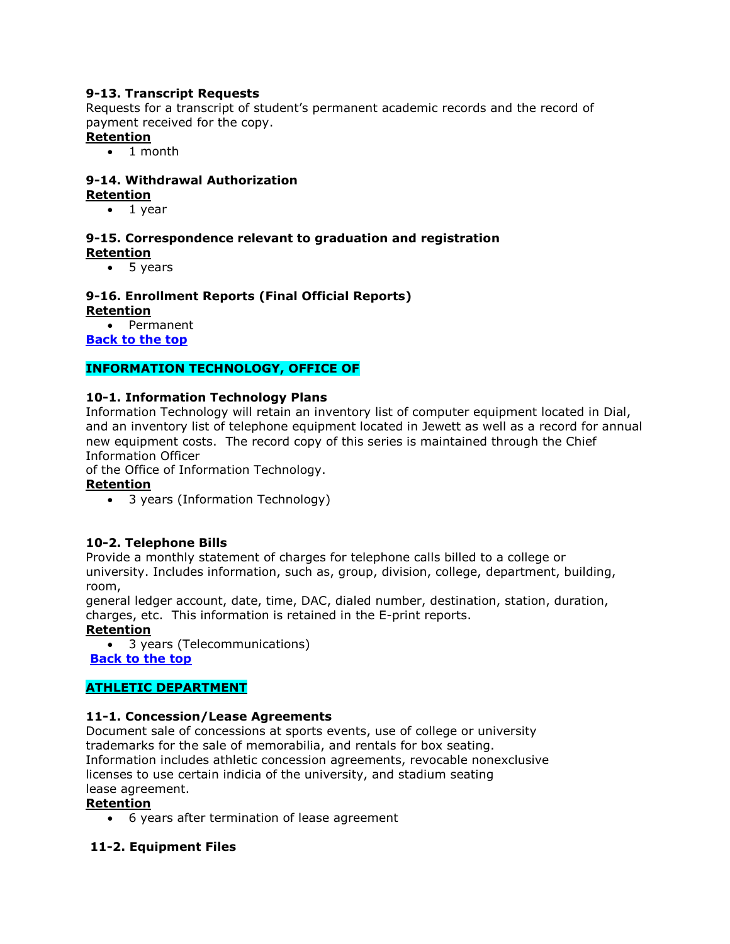# <span id="page-21-0"></span>**9-13. Transcript Requests**

Requests for a transcript of student's permanent academic records and the record of payment received for the copy.

# **Retention**

• 1 month

# <span id="page-21-1"></span>**9-14. Withdrawal Authorization**

- **Retention**
	- $\bullet$  1 year

#### <span id="page-21-2"></span>**9-15. Correspondence relevant to graduation and registration Retention**

• 5 years

# <span id="page-21-3"></span>**9-16. Enrollment Reports (Final Official Reports)**

**Retention**

 Permanent **[Back to the top](#page-0-0)**

# **INFORMATION TECHNOLOGY, OFFICE OF**

#### <span id="page-21-4"></span>**10-1. Information Technology Plans**

Information Technology will retain an inventory list of computer equipment located in Dial, and an inventory list of telephone equipment located in Jewett as well as a record for annual new equipment costs. The record copy of this series is maintained through the Chief Information Officer

of the Office of Information Technology.

# **Retention**

• 3 years (Information Technology)

#### <span id="page-21-5"></span>**10-2. Telephone Bills**

Provide a monthly statement of charges for telephone calls billed to a college or university. Includes information, such as, group, division, college, department, building, room,

general ledger account, date, time, DAC, dialed number, destination, station, duration, charges, etc. This information is retained in the E-print reports.

**Retention**

3 years (Telecommunications)

**[Back to the top](#page-0-0)**

# <span id="page-21-6"></span>**ATHLETIC DEPARTMENT**

#### <span id="page-21-7"></span>**11-1. Concession/Lease Agreements**

Document sale of concessions at sports events, use of college or university trademarks for the sale of memorabilia, and rentals for box seating. Information includes athletic concession agreements, revocable nonexclusive licenses to use certain indicia of the university, and stadium seating lease agreement.

#### **Retention**

6 years after termination of lease agreement

#### **11-2. Equipment Files**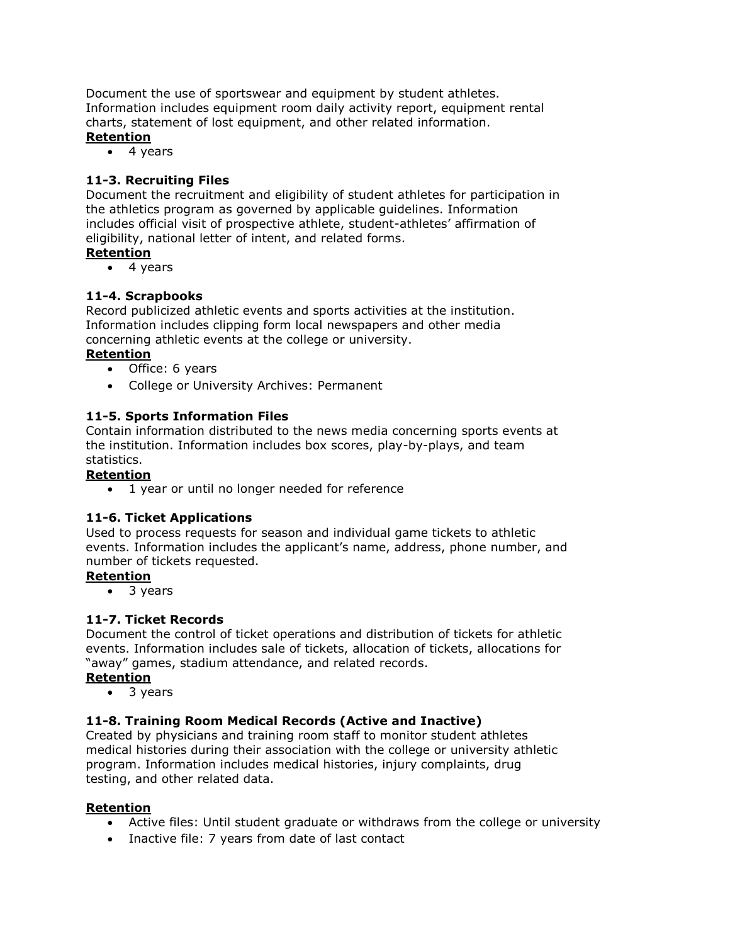Document the use of sportswear and equipment by student athletes. Information includes equipment room daily activity report, equipment rental charts, statement of lost equipment, and other related information. **Retention**

 $\bullet$  4 years

#### <span id="page-22-0"></span>**11-3. Recruiting Files**

Document the recruitment and eligibility of student athletes for participation in the athletics program as governed by applicable guidelines. Information includes official visit of prospective athlete, student-athletes' affirmation of eligibility, national letter of intent, and related forms.

#### **Retention**

4 years

#### <span id="page-22-1"></span>**11-4. Scrapbooks**

Record publicized athletic events and sports activities at the institution. Information includes clipping form local newspapers and other media concerning athletic events at the college or university.

# **Retention**

- Office: 6 years
- College or University Archives: Permanent

#### **11-5. Sports Information Files**

Contain information distributed to the news media concerning sports events at the institution. Information includes box scores, play-by-plays, and team statistics.

#### **Retention**

• 1 year or until no longer needed for reference

#### **11-6. Ticket Applications**

Used to process requests for season and individual game tickets to athletic events. Information includes the applicant's name, address, phone number, and number of tickets requested.

#### **Retention**

• 3 years

#### <span id="page-22-2"></span>**11-7. Ticket Records**

Document the control of ticket operations and distribution of tickets for athletic events. Information includes sale of tickets, allocation of tickets, allocations for "away" games, stadium attendance, and related records.

#### **Retention**

• 3 years

#### <span id="page-22-3"></span>**11-8. Training Room Medical Records (Active and Inactive)**

Created by physicians and training room staff to monitor student athletes medical histories during their association with the college or university athletic program. Information includes medical histories, injury complaints, drug testing, and other related data.

#### **Retention**

- Active files: Until student graduate or withdraws from the college or university
- Inactive file: 7 years from date of last contact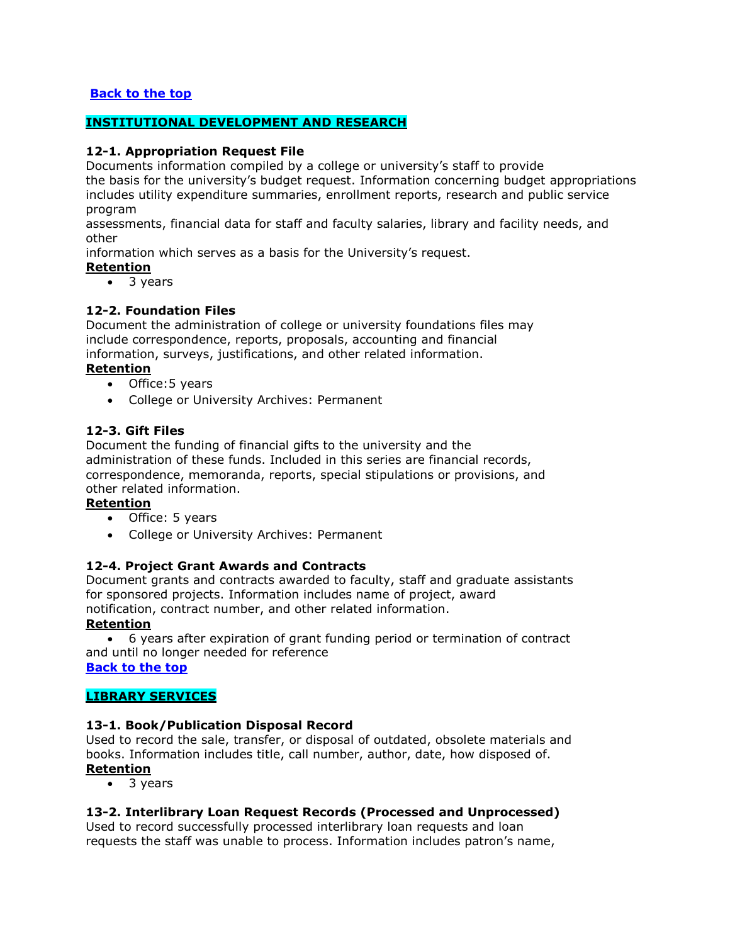# **[Back to the top](#page-0-0)**

#### <span id="page-23-0"></span>**INSTITUTIONAL DEVELOPMENT AND RESEARCH**

#### <span id="page-23-1"></span>**12-1. Appropriation Request File**

Documents information compiled by a college or university's staff to provide the basis for the university's budget request. Information concerning budget appropriations includes utility expenditure summaries, enrollment reports, research and public service program

assessments, financial data for staff and faculty salaries, library and facility needs, and other

information which serves as a basis for the University's request.

#### **Retention**

3 years

#### <span id="page-23-2"></span>**12-2. Foundation Files**

Document the administration of college or university foundations files may include correspondence, reports, proposals, accounting and financial information, surveys, justifications, and other related information.

#### **Retention**

- Office: 5 years
- College or University Archives: Permanent

#### **12-3. Gift Files**

Document the funding of financial gifts to the university and the administration of these funds. Included in this series are financial records, correspondence, memoranda, reports, special stipulations or provisions, and other related information.

#### **Retention**

- Office: 5 years
- College or University Archives: Permanent

#### <span id="page-23-3"></span>**12-4. Project Grant Awards and Contracts**

Document grants and contracts awarded to faculty, staff and graduate assistants for sponsored projects. Information includes name of project, award notification, contract number, and other related information.

#### **Retention**

 6 years after expiration of grant funding period or termination of contract and until no longer needed for reference **[Back to the top](#page-0-0)**

# <span id="page-23-4"></span>**LIBRARY SERVICES**

# <span id="page-23-5"></span>**13-1. Book/Publication Disposal Record**

Used to record the sale, transfer, or disposal of outdated, obsolete materials and books. Information includes title, call number, author, date, how disposed of. **Retention**

• 3 years

#### <span id="page-23-6"></span>**13-2. Interlibrary Loan Request Records (Processed and Unprocessed)**

Used to record successfully processed interlibrary loan requests and loan requests the staff was unable to process. Information includes patron's name,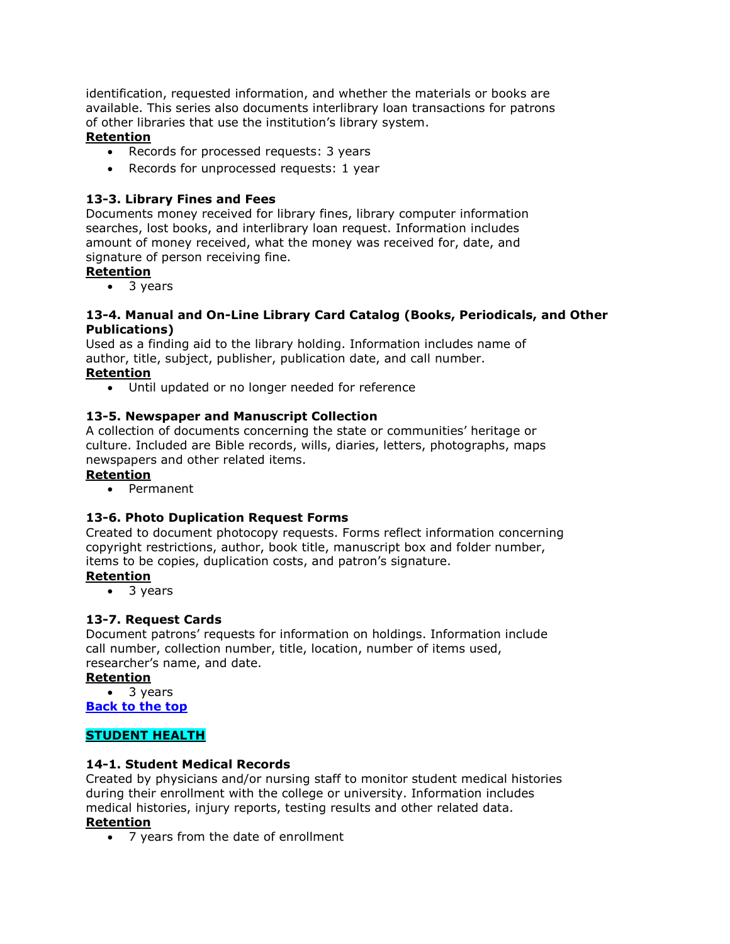identification, requested information, and whether the materials or books are available. This series also documents interlibrary loan transactions for patrons of other libraries that use the institution's library system.

# **Retention**

- Records for processed requests: 3 years
- Records for unprocessed requests: 1 year

# <span id="page-24-0"></span>**13-3. Library Fines and Fees**

Documents money received for library fines, library computer information searches, lost books, and interlibrary loan request. Information includes amount of money received, what the money was received for, date, and signature of person receiving fine.

# **Retention**

• 3 years

#### <span id="page-24-1"></span>**13-4. Manual and On-Line Library Card Catalog (Books, Periodicals, and Other Publications)**

Used as a finding aid to the library holding. Information includes name of author, title, subject, publisher, publication date, and call number.

# **Retention**

Until updated or no longer needed for reference

# <span id="page-24-2"></span>**13-5. Newspaper and Manuscript Collection**

A collection of documents concerning the state or communities' heritage or culture. Included are Bible records, wills, diaries, letters, photographs, maps newspapers and other related items.

# **Retention**

Permanent

# <span id="page-24-3"></span>**13-6. Photo Duplication Request Forms**

Created to document photocopy requests. Forms reflect information concerning copyright restrictions, author, book title, manuscript box and folder number, items to be copies, duplication costs, and patron's signature.

# **Retention**

3 years

# <span id="page-24-4"></span>**13-7. Request Cards**

Document patrons' requests for information on holdings. Information include call number, collection number, title, location, number of items used, researcher's name, and date.

# **Retention**

• 3 years

**[Back to the top](#page-0-0)**

# <span id="page-24-5"></span>**STUDENT HEALTH**

# <span id="page-24-6"></span>**14-1. Student Medical Records**

Created by physicians and/or nursing staff to monitor student medical histories during their enrollment with the college or university. Information includes medical histories, injury reports, testing results and other related data.

# **Retention**

7 years from the date of enrollment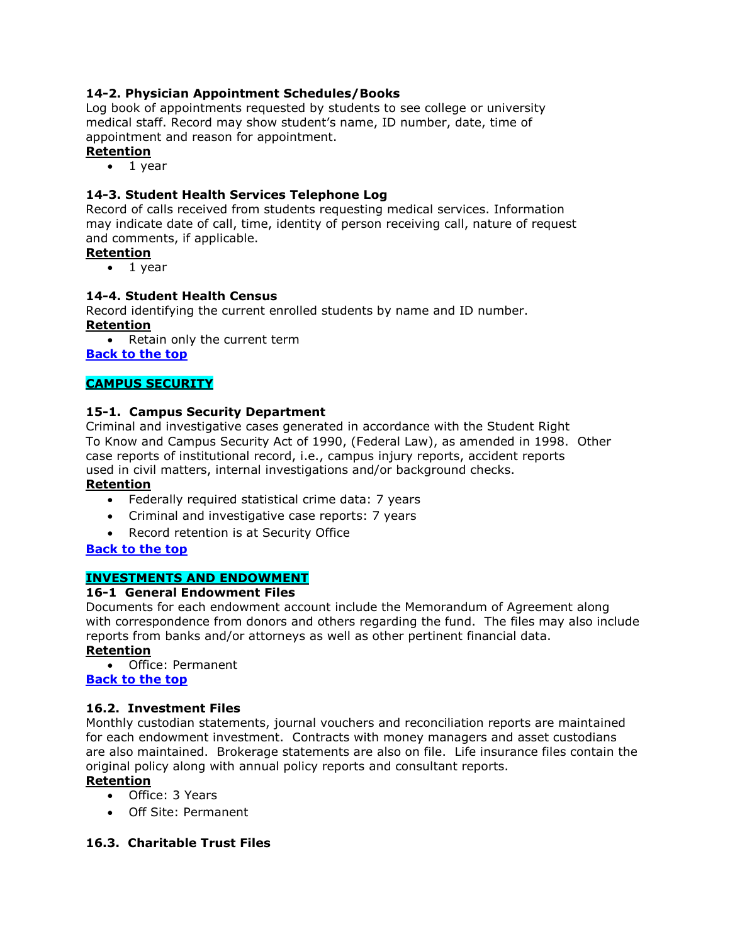# <span id="page-25-0"></span>**14-2. Physician Appointment Schedules/Books**

Log book of appointments requested by students to see college or university medical staff. Record may show student's name, ID number, date, time of appointment and reason for appointment.

# **Retention**

 $\bullet$  1 year

# <span id="page-25-1"></span>**14-3. Student Health Services Telephone Log**

Record of calls received from students requesting medical services. Information may indicate date of call, time, identity of person receiving call, nature of request and comments, if applicable.

#### **Retention**

 $\bullet$  1 year

#### <span id="page-25-2"></span>**14-4. Student Health Census**

Record identifying the current enrolled students by name and ID number. **Retention**

• Retain only the current term

**[Back to the top](#page-0-0)**

#### <span id="page-25-3"></span>**CAMPUS SECURITY**

#### <span id="page-25-4"></span>**15-1. Campus Security Department**

Criminal and investigative cases generated in accordance with the Student Right To Know and Campus Security Act of 1990, (Federal Law), as amended in 1998. Other case reports of institutional record, i.e., campus injury reports, accident reports used in civil matters, internal investigations and/or background checks.

#### **Retention**

- Federally required statistical crime data: 7 years
- Criminal and investigative case reports: 7 years
- Record retention is at Security Office

#### **[Back to the top](#page-0-0)**

# <span id="page-25-5"></span>**INVESTMENTS AND ENDOWMENT**

#### <span id="page-25-6"></span>**16-1 General Endowment Files**

Documents for each endowment account include the Memorandum of Agreement along with correspondence from donors and others regarding the fund. The files may also include reports from banks and/or attorneys as well as other pertinent financial data.

# **Retention**

 Office: Permanent **[Back to the top](#page-0-0)**

#### <span id="page-25-7"></span>**16.2. Investment Files**

Monthly custodian statements, journal vouchers and reconciliation reports are maintained for each endowment investment. Contracts with money managers and asset custodians are also maintained. Brokerage statements are also on file. Life insurance files contain the original policy along with annual policy reports and consultant reports.

#### **Retention**

- Office: 3 Years
- Off Site: Permanent

#### <span id="page-25-8"></span>**16.3. Charitable Trust Files**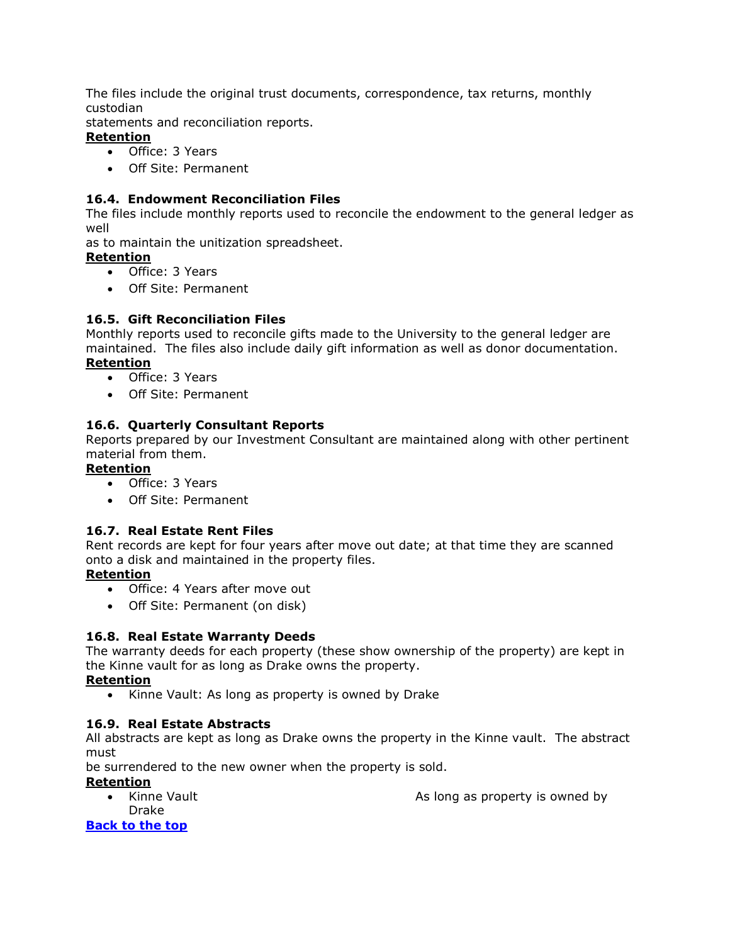The files include the original trust documents, correspondence, tax returns, monthly custodian

statements and reconciliation reports.

- **Retention**
	- Office: 3 Years
	- Off Site: Permanent

#### <span id="page-26-0"></span>**16.4. Endowment Reconciliation Files**

The files include monthly reports used to reconcile the endowment to the general ledger as well

as to maintain the unitization spreadsheet.

#### **Retention**

- Office: 3 Years
- Off Site: Permanent

# <span id="page-26-1"></span>**16.5. Gift Reconciliation Files**

Monthly reports used to reconcile gifts made to the University to the general ledger are maintained. The files also include daily gift information as well as donor documentation. **Retention**

- Office: 3 Years
- Off Site: Permanent

# <span id="page-26-2"></span>**16.6. Quarterly Consultant Reports**

Reports prepared by our Investment Consultant are maintained along with other pertinent material from them.

#### **Retention**

- Office: 3 Years
- Off Site: Permanent

#### <span id="page-26-3"></span>**16.7. Real Estate Rent Files**

Rent records are kept for four years after move out date; at that time they are scanned onto a disk and maintained in the property files.

#### **Retention**

- Office: 4 Years after move out
- Off Site: Permanent (on disk)

# <span id="page-26-4"></span>**16.8. Real Estate Warranty Deeds**

The warranty deeds for each property (these show ownership of the property) are kept in the Kinne vault for as long as Drake owns the property.

#### **Retention**

• Kinne Vault: As long as property is owned by Drake

#### <span id="page-26-5"></span>**16.9. Real Estate Abstracts**

All abstracts are kept as long as Drake owns the property in the Kinne vault. The abstract must

be surrendered to the new owner when the property is sold.

#### **Retention**

Kinne Vault **As long as property is owned by** As long as property is owned by Drake

**[Back to the top](#page-0-0)**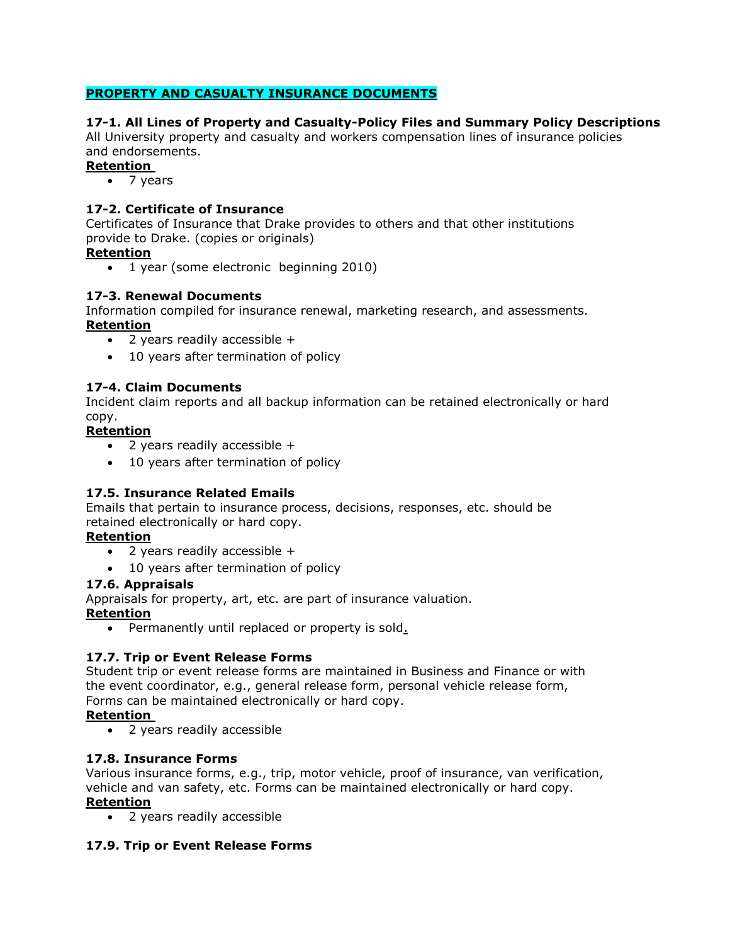# <span id="page-27-0"></span>**PROPERTY AND CASUALTY INSURANCE DOCUMENTS**

# <span id="page-27-1"></span>**17-1. All Lines of Property and Casualty-Policy Files and Summary Policy Descriptions**

All University property and casualty and workers compensation lines of insurance policies and endorsements.

# **Retention**

• 7 years

# <span id="page-27-2"></span>**17-2. Certificate of Insurance**

Certificates of Insurance that Drake provides to others and that other institutions provide to Drake. (copies or originals)

# **Retention**

• 1 year (some electronic beginning 2010)

#### <span id="page-27-3"></span>**17-3. Renewal Documents**

Information compiled for insurance renewal, marketing research, and assessments. **Retention**

- 2 years readily accessible +
- 10 years after termination of policy

# <span id="page-27-4"></span>**17-4. Claim Documents**

Incident claim reports and all backup information can be retained electronically or hard copy.

#### **Retention**

- 2 years readily accessible +
- 10 years after termination of policy

# <span id="page-27-5"></span>**17.5. Insurance Related Emails**

Emails that pertain to insurance process, decisions, responses, etc. should be retained electronically or hard copy.

# **Retention**

- 2 years readily accessible +
- 10 years after termination of policy

#### <span id="page-27-6"></span>**17.6. Appraisals**

Appraisals for property, art, etc. are part of insurance valuation.

#### **Retention**

• Permanently until replaced or property is sold.

# <span id="page-27-7"></span>**17.7. Trip or Event Release Forms**

Student trip or event release forms are maintained in Business and Finance or with the event coordinator, e.g., general release form, personal vehicle release form, Forms can be maintained electronically or hard copy.

#### **Retention**

2 years readily accessible

# <span id="page-27-8"></span>**17.8. Insurance Forms**

Various insurance forms, e.g., trip, motor vehicle, proof of insurance, van verification, vehicle and van safety, etc. Forms can be maintained electronically or hard copy. **Retention**

2 years readily accessible

# <span id="page-27-9"></span>**17.9. Trip or Event Release Forms**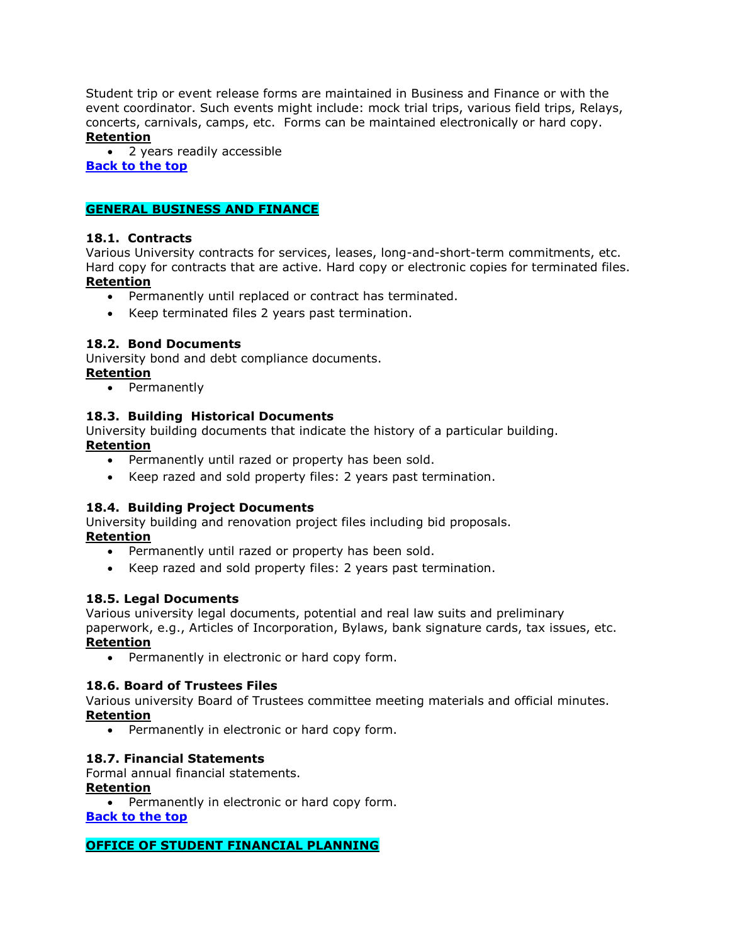Student trip or event release forms are maintained in Business and Finance or with the event coordinator. Such events might include: mock trial trips, various field trips, Relays, concerts, carnivals, camps, etc. Forms can be maintained electronically or hard copy. **Retention**

 2 years readily accessible **[Back to the top](#page-0-0)**

# <span id="page-28-0"></span>**GENERAL BUSINESS AND FINANCE**

# <span id="page-28-1"></span>**18.1. Contracts**

Various University contracts for services, leases, long-and-short-term commitments, etc. Hard copy for contracts that are active. Hard copy or electronic copies for terminated files. **Retention**

- Permanently until replaced or contract has terminated.
- Keep terminated files 2 years past termination.

# <span id="page-28-2"></span>**18.2. Bond Documents**

University bond and debt compliance documents.

#### **Retention**

• Permanently

# <span id="page-28-3"></span>**18.3. Building Historical Documents**

University building documents that indicate the history of a particular building.

# **Retention**

- Permanently until razed or property has been sold.
- Keep razed and sold property files: 2 years past termination.

# <span id="page-28-4"></span>**18.4. Building Project Documents**

University building and renovation project files including bid proposals. **Retention**

- Permanently until razed or property has been sold.
- Keep razed and sold property files: 2 years past termination.

# **18.5. Legal Documents**

Various university legal documents, potential and real law suits and preliminary paperwork, e.g., Articles of Incorporation, Bylaws, bank signature cards, tax issues, etc.

#### **Retention**

• Permanently in electronic or hard copy form.

#### <span id="page-28-5"></span>**18.6. Board of Trustees Files**

Various university Board of Trustees committee meeting materials and official minutes. **Retention**

• Permanently in electronic or hard copy form.

# <span id="page-28-6"></span>**18.7. Financial Statements**

Formal annual financial statements.

#### **Retention**

• Permanently in electronic or hard copy form. **[Back to the top](#page-0-0)**

#### <span id="page-28-7"></span>**OFFICE OF STUDENT FINANCIAL PLANNING**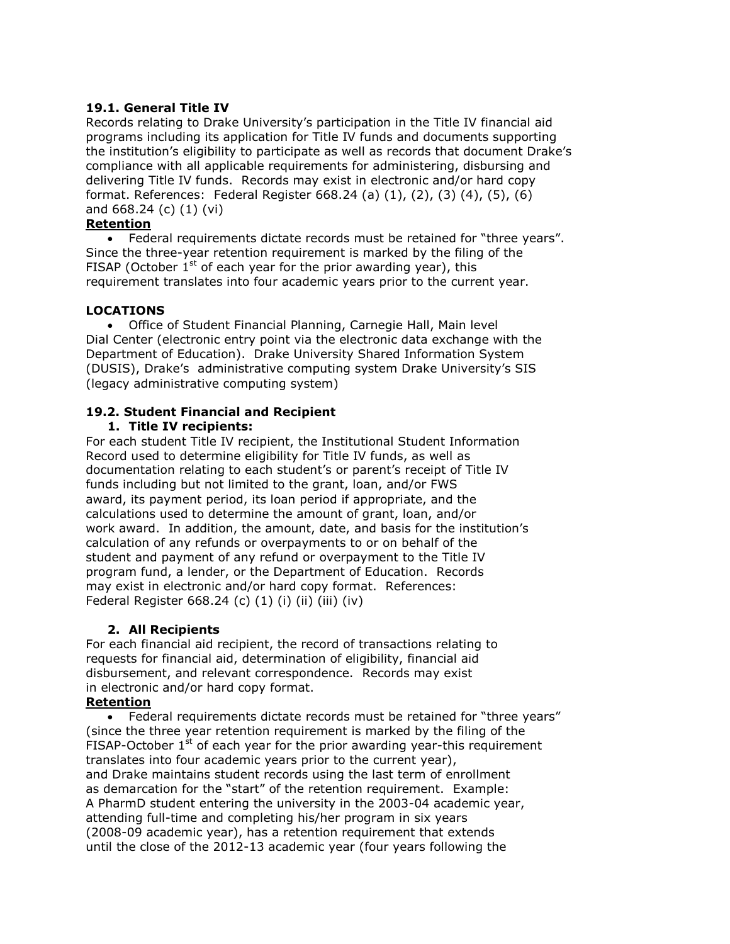# <span id="page-29-0"></span>**19.1. General Title IV**

Records relating to Drake University's participation in the Title IV financial aid programs including its application for Title IV funds and documents supporting the institution's eligibility to participate as well as records that document Drake's compliance with all applicable requirements for administering, disbursing and delivering Title IV funds. Records may exist in electronic and/or hard copy format. References: Federal Register 668.24 (a) (1), (2), (3) (4), (5), (6) and 668.24 (c) (1) (vi)

# **Retention**

 Federal requirements dictate records must be retained for "three years". Since the three-year retention requirement is marked by the filing of the FISAP (October  $1<sup>st</sup>$  of each year for the prior awarding year), this requirement translates into four academic years prior to the current year.

#### **LOCATIONS**

 Office of Student Financial Planning, Carnegie Hall, Main level Dial Center (electronic entry point via the electronic data exchange with the Department of Education). Drake University Shared Information System (DUSIS), Drake's administrative computing system Drake University's SIS (legacy administrative computing system)

# <span id="page-29-1"></span>**19.2. Student Financial and Recipient**

#### **1. Title IV recipients:**

For each student Title IV recipient, the Institutional Student Information Record used to determine eligibility for Title IV funds, as well as documentation relating to each student's or parent's receipt of Title IV funds including but not limited to the grant, loan, and/or FWS award, its payment period, its loan period if appropriate, and the calculations used to determine the amount of grant, loan, and/or work award. In addition, the amount, date, and basis for the institution's calculation of any refunds or overpayments to or on behalf of the student and payment of any refund or overpayment to the Title IV program fund, a lender, or the Department of Education. Records may exist in electronic and/or hard copy format. References: Federal Register 668.24 (c) (1) (i) (ii) (iii) (iv)

#### **2. All Recipients**

For each financial aid recipient, the record of transactions relating to requests for financial aid, determination of eligibility, financial aid disbursement, and relevant correspondence. Records may exist in electronic and/or hard copy format.

#### **Retention**

 Federal requirements dictate records must be retained for "three years" (since the three year retention requirement is marked by the filing of the FISAP-October  $1<sup>st</sup>$  of each year for the prior awarding year-this requirement translates into four academic years prior to the current year), and Drake maintains student records using the last term of enrollment as demarcation for the "start" of the retention requirement. Example: A PharmD student entering the university in the 2003-04 academic year, attending full-time and completing his/her program in six years (2008-09 academic year), has a retention requirement that extends until the close of the 2012-13 academic year (four years following the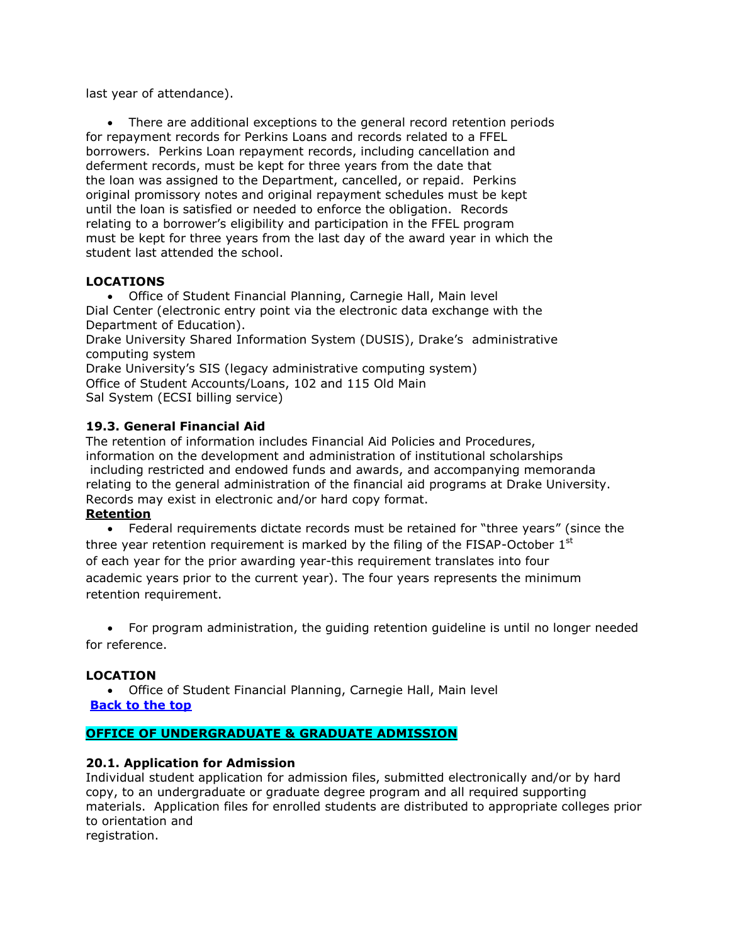last year of attendance).

 There are additional exceptions to the general record retention periods for repayment records for Perkins Loans and records related to a FFEL borrowers. Perkins Loan repayment records, including cancellation and deferment records, must be kept for three years from the date that the loan was assigned to the Department, cancelled, or repaid. Perkins original promissory notes and original repayment schedules must be kept until the loan is satisfied or needed to enforce the obligation. Records relating to a borrower's eligibility and participation in the FFEL program must be kept for three years from the last day of the award year in which the student last attended the school.

# **LOCATIONS**

 Office of Student Financial Planning, Carnegie Hall, Main level Dial Center (electronic entry point via the electronic data exchange with the Department of Education).

Drake University Shared Information System (DUSIS), Drake's administrative computing system

Drake University's SIS (legacy administrative computing system) Office of Student Accounts/Loans, 102 and 115 Old Main Sal System (ECSI billing service)

# <span id="page-30-0"></span>**19.3. General Financial Aid**

The retention of information includes Financial Aid Policies and Procedures, information on the development and administration of institutional scholarships including restricted and endowed funds and awards, and accompanying memoranda relating to the general administration of the financial aid programs at Drake University. Records may exist in electronic and/or hard copy format. **Retention**

# Federal requirements dictate records must be retained for "three years" (since the three year retention requirement is marked by the filing of the FISAP-October  $1<sup>st</sup>$ of each year for the prior awarding year-this requirement translates into four academic years prior to the current year). The four years represents the minimum retention requirement.

 For program administration, the guiding retention guideline is until no longer needed for reference.

# **LOCATION**

 Office of Student Financial Planning, Carnegie Hall, Main level **[Back to the top](#page-0-0)**

# <span id="page-30-1"></span>**OFFICE OF UNDERGRADUATE & GRADUATE ADMISSION**

# <span id="page-30-2"></span>**20.1. Application for Admission**

Individual student application for admission files, submitted electronically and/or by hard copy, to an undergraduate or graduate degree program and all required supporting materials. Application files for enrolled students are distributed to appropriate colleges prior to orientation and

registration.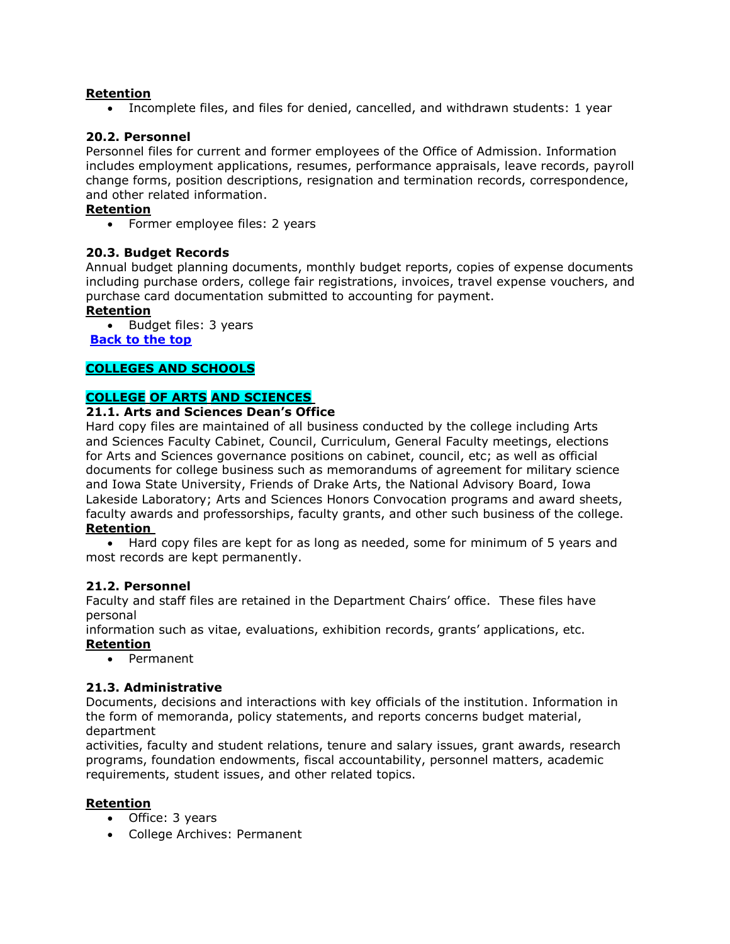#### **Retention**

Incomplete files, and files for denied, cancelled, and withdrawn students: 1 year

#### <span id="page-31-0"></span>**20.2. Personnel**

Personnel files for current and former employees of the Office of Admission. Information includes employment applications, resumes, performance appraisals, leave records, payroll change forms, position descriptions, resignation and termination records, correspondence, and other related information.

#### **Retention**

• Former employee files: 2 years

#### <span id="page-31-1"></span>**20.3. Budget Records**

Annual budget planning documents, monthly budget reports, copies of expense documents including purchase orders, college fair registrations, invoices, travel expense vouchers, and purchase card documentation submitted to accounting for payment.

#### **Retention**

• Budget files: 3 years **[Back to the top](#page-0-0)**

#### <span id="page-31-2"></span>**COLLEGES AND SCHOOLS**

#### <span id="page-31-3"></span>**COLLEGE OF ARTS AND SCIENCES**

#### <span id="page-31-4"></span>**21.1. Arts and Sciences Dean's Office**

Hard copy files are maintained of all business conducted by the college including Arts and Sciences Faculty Cabinet, Council, Curriculum, General Faculty meetings, elections for Arts and Sciences governance positions on cabinet, council, etc; as well as official documents for college business such as memorandums of agreement for military science and Iowa State University, Friends of Drake Arts, the National Advisory Board, Iowa Lakeside Laboratory; Arts and Sciences Honors Convocation programs and award sheets, faculty awards and professorships, faculty grants, and other such business of the college.

#### **Retention**

 Hard copy files are kept for as long as needed, some for minimum of 5 years and most records are kept permanently.

#### <span id="page-31-5"></span>**21.2. Personnel**

Faculty and staff files are retained in the Department Chairs' office. These files have personal

information such as vitae, evaluations, exhibition records, grants' applications, etc.

#### **Retention**

Permanent

#### <span id="page-31-6"></span>**21.3. Administrative**

Documents, decisions and interactions with key officials of the institution. Information in the form of memoranda, policy statements, and reports concerns budget material, department

activities, faculty and student relations, tenure and salary issues, grant awards, research programs, foundation endowments, fiscal accountability, personnel matters, academic requirements, student issues, and other related topics.

#### **Retention**

- Office: 3 years
- College Archives: Permanent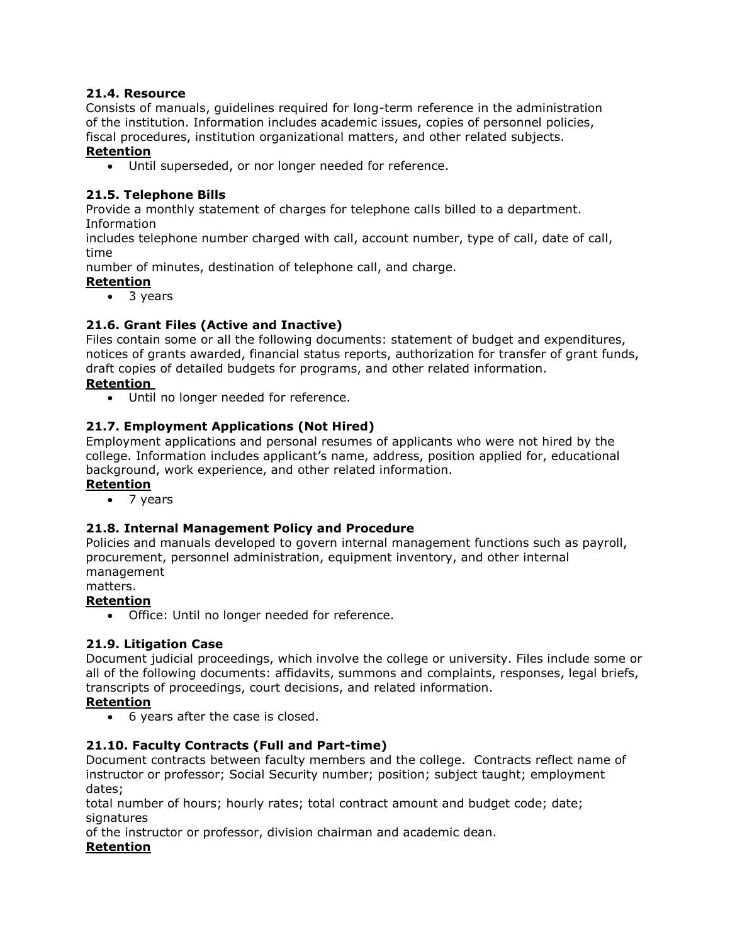# <span id="page-32-0"></span>**21.4. Resource**

Consists of manuals, guidelines required for long-term reference in the administration of the institution. Information includes academic issues, copies of personnel policies, fiscal procedures, institution organizational matters, and other related subjects.

#### **Retention**

Until superseded, or nor longer needed for reference.

# <span id="page-32-1"></span>**21.5. Telephone Bills**

Provide a monthly statement of charges for telephone calls billed to a department. Information

includes telephone number charged with call, account number, type of call, date of call, time

number of minutes, destination of telephone call, and charge.

# **Retention**

• 3 years

# <span id="page-32-2"></span>**21.6. Grant Files (Active and Inactive)**

Files contain some or all the following documents: statement of budget and expenditures, notices of grants awarded, financial status reports, authorization for transfer of grant funds, draft copies of detailed budgets for programs, and other related information.

# **Retention**

Until no longer needed for reference.

# <span id="page-32-3"></span>**21.7. Employment Applications (Not Hired)**

Employment applications and personal resumes of applicants who were not hired by the college. Information includes applicant's name, address, position applied for, educational background, work experience, and other related information.

# **Retention**

• 7 years

# <span id="page-32-4"></span>**21.8. Internal Management Policy and Procedure**

Policies and manuals developed to govern internal management functions such as payroll, procurement, personnel administration, equipment inventory, and other internal management

#### matters.

# **Retention**

Office: Until no longer needed for reference.

# <span id="page-32-5"></span>**21.9. Litigation Case**

Document judicial proceedings, which involve the college or university. Files include some or all of the following documents: affidavits, summons and complaints, responses, legal briefs, transcripts of proceedings, court decisions, and related information.

# **Retention**

6 years after the case is closed.

# <span id="page-32-6"></span>**21.10. Faculty Contracts (Full and Part-time)**

Document contracts between faculty members and the college. Contracts reflect name of instructor or professor; Social Security number; position; subject taught; employment dates;

total number of hours; hourly rates; total contract amount and budget code; date; signatures

of the instructor or professor, division chairman and academic dean. **Retention**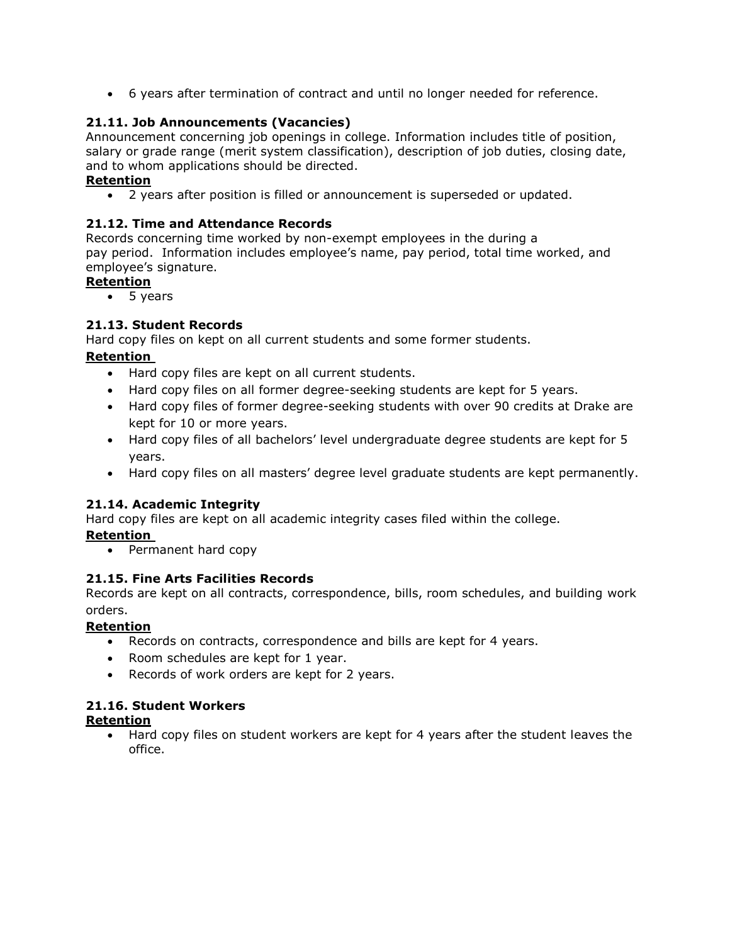6 years after termination of contract and until no longer needed for reference.

# <span id="page-33-0"></span>**21.11. Job Announcements (Vacancies)**

Announcement concerning job openings in college. Information includes title of position, salary or grade range (merit system classification), description of job duties, closing date, and to whom applications should be directed.

# **Retention**

2 years after position is filled or announcement is superseded or updated.

# <span id="page-33-1"></span>**21.12. Time and Attendance Records**

Records concerning time worked by non-exempt employees in the during a pay period. Information includes employee's name, pay period, total time worked, and employee's signature.

# **Retention**

• 5 years

# <span id="page-33-2"></span>**21.13. Student Records**

Hard copy files on kept on all current students and some former students.

# **Retention**

- Hard copy files are kept on all current students.
- Hard copy files on all former degree-seeking students are kept for 5 years.
- Hard copy files of former degree-seeking students with over 90 credits at Drake are kept for 10 or more years.
- Hard copy files of all bachelors' level undergraduate degree students are kept for 5 years.
- Hard copy files on all masters' degree level graduate students are kept permanently.

# <span id="page-33-3"></span>**21.14. Academic Integrity**

Hard copy files are kept on all academic integrity cases filed within the college.

# **Retention**

• Permanent hard copy

# <span id="page-33-4"></span>**21.15. Fine Arts Facilities Records**

Records are kept on all contracts, correspondence, bills, room schedules, and building work orders.

# **Retention**

- Records on contracts, correspondence and bills are kept for 4 years.
- Room schedules are kept for 1 year.
- Records of work orders are kept for 2 years.

# <span id="page-33-5"></span>**21.16. Student Workers**

# **Retention**

 Hard copy files on student workers are kept for 4 years after the student leaves the office.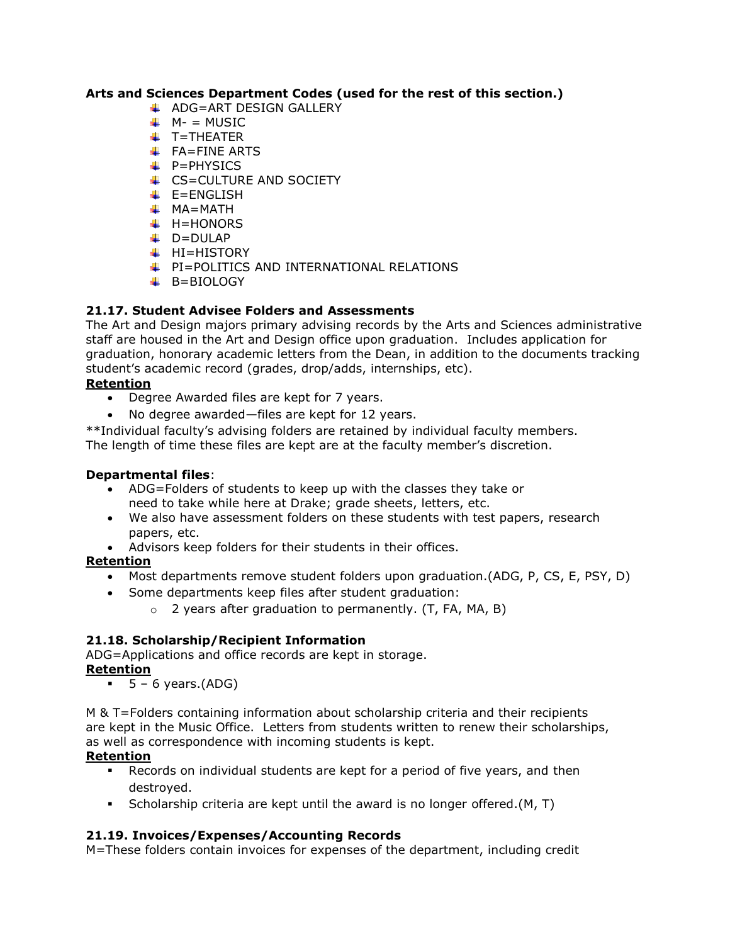# **Arts and Sciences Department Codes (used for the rest of this section.)**

- $\overline{\phantom{a}}$  ADG=ART DESIGN GALLERY
- $M N = MUSIC$
- $+$  T=THEATER
- $\leftarrow$  FA=FINE ARTS
- $\downarrow$  P=PHYSICS
- CS=CULTURE AND SOCIETY
- $E=ENGLISH$
- $M = MATH$
- $H=HONORS$
- $\downarrow$  D=DULAP
- $H = HISTORY$
- **F** PI=POLITICS AND INTERNATIONAL RELATIONS
- $\overline{B}$ =BIOLOGY

# <span id="page-34-0"></span>**21.17. Student Advisee Folders and Assessments**

The Art and Design majors primary advising records by the Arts and Sciences administrative staff are housed in the Art and Design office upon graduation. Includes application for graduation, honorary academic letters from the Dean, in addition to the documents tracking student's academic record (grades, drop/adds, internships, etc).

# **Retention**

- Degree Awarded files are kept for 7 years.
- No degree awarded—files are kept for 12 years.

\*\*Individual faculty's advising folders are retained by individual faculty members. The length of time these files are kept are at the faculty member's discretion.

# **Departmental files**:

- ADG=Folders of students to keep up with the classes they take or need to take while here at Drake; grade sheets, letters, etc.
- We also have assessment folders on these students with test papers, research papers, etc.
- Advisors keep folders for their students in their offices.

# **Retention**

- Most departments remove student folders upon graduation.(ADG, P, CS, E, PSY, D)
- Some departments keep files after student graduation:
	- $\circ$  2 years after graduation to permanently. (T, FA, MA, B)

# **21.18. Scholarship/Recipient Information**

ADG=Applications and office records are kept in storage.

# **Retention**

 $\bullet$  5 – 6 years.(ADG)

M & T=Folders containing information about scholarship criteria and their recipients are kept in the Music Office. Letters from students written to renew their scholarships, as well as correspondence with incoming students is kept.

# **Retention**

- Records on individual students are kept for a period of five years, and then destroyed.
- Scholarship criteria are kept until the award is no longer offered.(M, T)

# <span id="page-34-1"></span>**21.19. Invoices/Expenses/Accounting Records**

M=These folders contain invoices for expenses of the department, including credit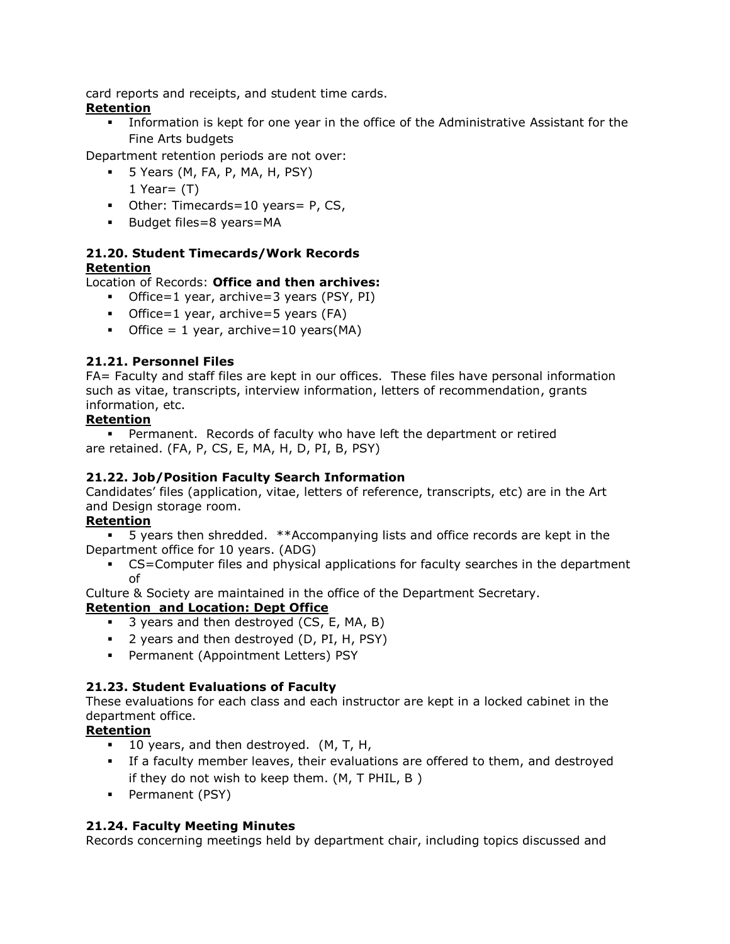card reports and receipts, and student time cards.

# **Retention**

 Information is kept for one year in the office of the Administrative Assistant for the Fine Arts budgets

Department retention periods are not over:

- $\blacksquare$  5 Years (M, FA, P, MA, H, PSY) 1 Year= $(T)$
- Other: Timecards=10 years= P, CS,
- **Budget files=8 years=MA**

# <span id="page-35-0"></span>**21.20. Student Timecards/Work Records Retention**

Location of Records: **Office and then archives:**

- Office=1 year, archive=3 years (PSY, PI)
- Office=1 year, archive=5 years (FA)
- Office = 1 year, archive=10 years( $MA$ )

# <span id="page-35-1"></span>**21.21. Personnel Files**

FA= Faculty and staff files are kept in our offices. These files have personal information such as vitae, transcripts, interview information, letters of recommendation, grants information, etc.

# **Retention**

 Permanent. Records of faculty who have left the department or retired are retained. (FA, P, CS, E, MA, H, D, PI, B, PSY)

# **21.22. Job/Position Faculty Search Information**

Candidates' files (application, vitae, letters of reference, transcripts, etc) are in the Art and Design storage room.

# **Retention**

 5 years then shredded. \*\*Accompanying lists and office records are kept in the Department office for 10 years. (ADG)

 CS=Computer files and physical applications for faculty searches in the department of

Culture & Society are maintained in the office of the Department Secretary.

# **Retention and Location: Dept Office**

- 3 years and then destroyed (CS, E, MA, B)
- 2 years and then destroyed (D, PI, H, PSY)
- **Permanent (Appointment Letters) PSY**

# <span id="page-35-2"></span>**21.23. Student Evaluations of Faculty**

These evaluations for each class and each instructor are kept in a locked cabinet in the department office.

# **Retention**

- **10 years, and then destroyed.** (M, T, H,
- If a faculty member leaves, their evaluations are offered to them, and destroyed if they do not wish to keep them. (M, T PHIL, B )
- **Permanent (PSY)**

# <span id="page-35-3"></span>**21.24. Faculty Meeting Minutes**

Records concerning meetings held by department chair, including topics discussed and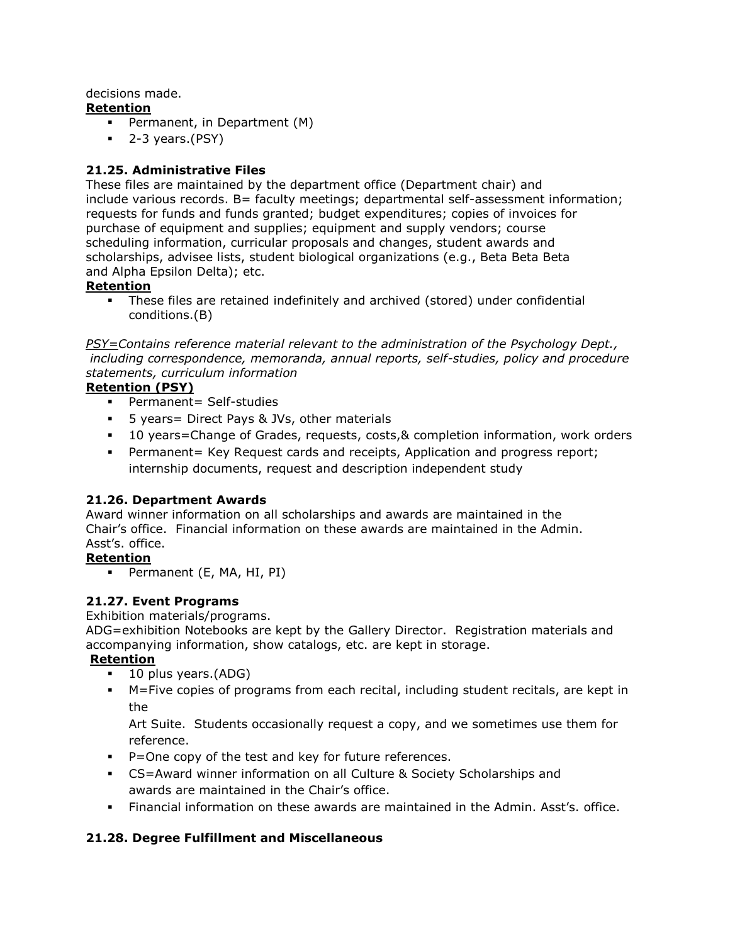# decisions made.

# **Retention**

- **Permanent, in Department (M)**
- $-2-3$  years.(PSY)

# <span id="page-36-0"></span>**21.25. Administrative Files**

These files are maintained by the department office (Department chair) and include various records. B= faculty meetings; departmental self-assessment information; requests for funds and funds granted; budget expenditures; copies of invoices for purchase of equipment and supplies; equipment and supply vendors; course scheduling information, curricular proposals and changes, student awards and scholarships, advisee lists, student biological organizations (e.g., Beta Beta Beta and Alpha Epsilon Delta); etc.

# **Retention**

 These files are retained indefinitely and archived (stored) under confidential conditions.(B)

*PSY=Contains reference material relevant to the administration of the Psychology Dept., including correspondence, memoranda, annual reports, self-studies, policy and procedure statements, curriculum information*

# **Retention (PSY)**

- **Permanent= Self-studies**
- 5 years= Direct Pays & JVs, other materials
- 10 years=Change of Grades, requests, costs,& completion information, work orders
- Permanent= Key Request cards and receipts, Application and progress report; internship documents, request and description independent study

# <span id="page-36-1"></span>**21.26. Department Awards**

Award winner information on all scholarships and awards are maintained in the Chair's office. Financial information on these awards are maintained in the Admin. Asst's. office.

# **Retention**

Permanent (E, MA, HI, PI)

# <span id="page-36-2"></span>**21.27. Event Programs**

Exhibition materials/programs.

ADG=exhibition Notebooks are kept by the Gallery Director. Registration materials and accompanying information, show catalogs, etc. are kept in storage.

# **Retention**

- 10 plus years.(ADG)
- M=Five copies of programs from each recital, including student recitals, are kept in the

Art Suite. Students occasionally request a copy, and we sometimes use them for reference.

- P=One copy of the test and key for future references.
- CS=Award winner information on all Culture & Society Scholarships and awards are maintained in the Chair's office.
- Financial information on these awards are maintained in the Admin. Asst's. office.

# <span id="page-36-3"></span>**21.28. Degree Fulfillment and Miscellaneous**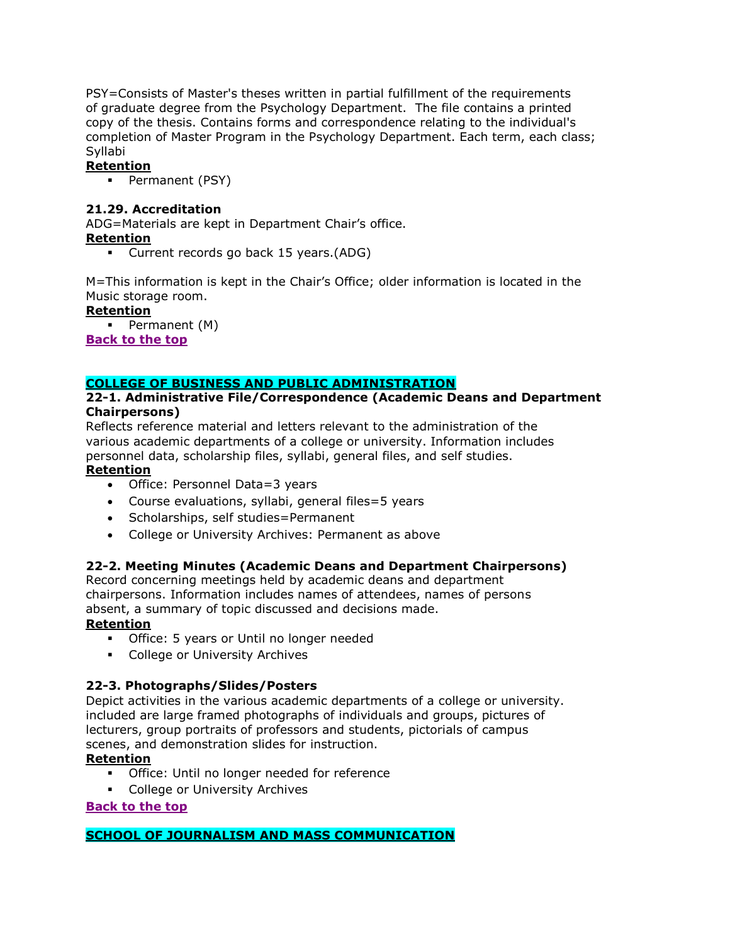PSY=Consists of Master's theses written in partial fulfillment of the requirements of graduate degree from the Psychology Department. The file contains a printed copy of the thesis. Contains forms and correspondence relating to the individual's completion of Master Program in the Psychology Department. Each term, each class; Syllabi

# **Retention**

**Permanent (PSY)** 

# <span id="page-37-0"></span>**21.29. Accreditation**

ADG=Materials are kept in Department Chair's office.

# **Retention**

Current records go back 15 years.(ADG)

M=This information is kept in the Chair's Office; older information is located in the Music storage room.

#### **Retention**

 $\blacksquare$  Permanent (M)

**[Back to the top](#page-0-0)**

# <span id="page-37-1"></span>**COLLEGE OF BUSINESS AND PUBLIC ADMINISTRATION**

#### <span id="page-37-2"></span>**22-1. Administrative File/Correspondence (Academic Deans and Department Chairpersons)**

Reflects reference material and letters relevant to the administration of the various academic departments of a college or university. Information includes personnel data, scholarship files, syllabi, general files, and self studies.

#### **Retention**

- Office: Personnel Data=3 years
- Course evaluations, syllabi, general files=5 years
- Scholarships, self studies=Permanent
- College or University Archives: Permanent as above

# <span id="page-37-3"></span>**22-2. Meeting Minutes (Academic Deans and Department Chairpersons)**

Record concerning meetings held by academic deans and department chairpersons. Information includes names of attendees, names of persons absent, a summary of topic discussed and decisions made.

#### **Retention**

- **•** Office: 5 years or Until no longer needed
- **College or University Archives**

# <span id="page-37-4"></span>**22-3. Photographs/Slides/Posters**

Depict activities in the various academic departments of a college or university. included are large framed photographs of individuals and groups, pictures of lecturers, group portraits of professors and students, pictorials of campus scenes, and demonstration slides for instruction.

#### **Retention**

- Office: Until no longer needed for reference
- **College or University Archives**

#### **[Back to the top](#page-0-0)**

#### <span id="page-37-5"></span>**SCHOOL OF JOURNALISM AND MASS COMMUNICATION**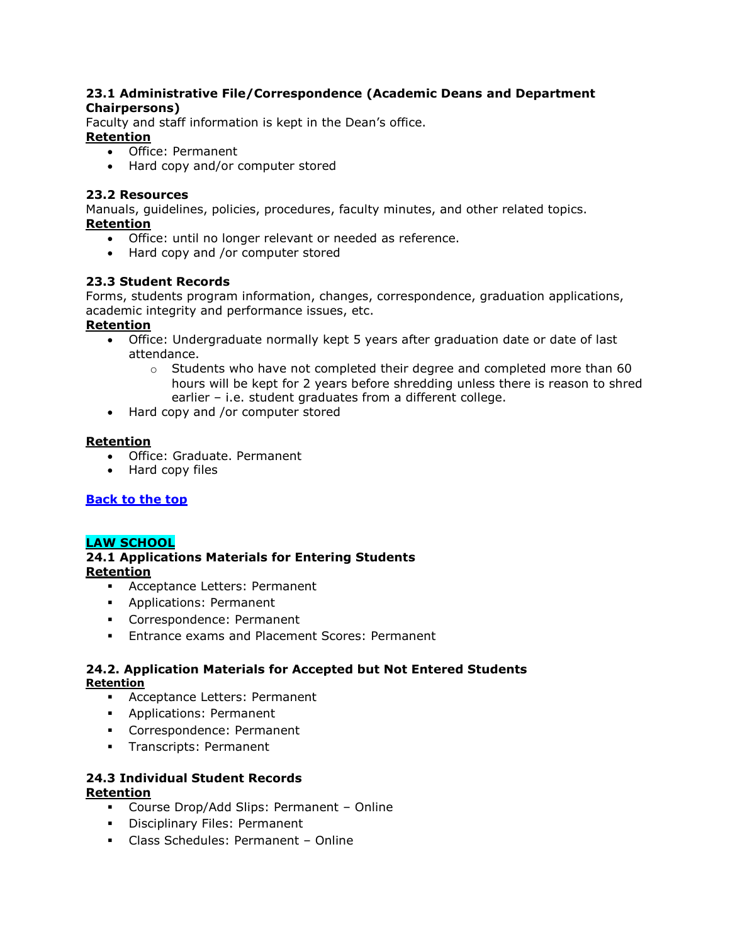#### <span id="page-38-0"></span>**23.1 Administrative File/Correspondence (Academic Deans and Department Chairpersons)**

Faculty and staff information is kept in the Dean's office. **Retention**

- Office: Permanent
- Hard copy and/or computer stored

# <span id="page-38-1"></span>**23.2 Resources**

Manuals, guidelines, policies, procedures, faculty minutes, and other related topics. **Retention**

- Office: until no longer relevant or needed as reference.
- Hard copy and /or computer stored

# <span id="page-38-2"></span>**23.3 Student Records**

Forms, students program information, changes, correspondence, graduation applications, academic integrity and performance issues, etc.

#### **Retention**

- Office: Undergraduate normally kept 5 years after graduation date or date of last attendance.
	- $\circ$  Students who have not completed their degree and completed more than 60 hours will be kept for 2 years before shredding unless there is reason to shred earlier – i.e. student graduates from a different college.
- Hard copy and /or computer stored

#### **Retention**

- Office: Graduate. Permanent
- Hard copy files

# **[Back to the top](#page-0-0)**

#### <span id="page-38-3"></span>**LAW SCHOOL**

# <span id="page-38-4"></span>**24.1 Applications Materials for Entering Students Retention**

- Acceptance Letters: Permanent
- **Applications: Permanent**
- Correspondence: Permanent
- **Entrance exams and Placement Scores: Permanent**

#### <span id="page-38-5"></span>**24.2. Application Materials for Accepted but Not Entered Students Retention**

- Acceptance Letters: Permanent
- **Applications: Permanent**
- **Correspondence: Permanent**
- **Transcripts: Permanent**

#### <span id="page-38-6"></span>**24.3 Individual Student Records Retention**

- Course Drop/Add Slips: Permanent Online
- **Disciplinary Files: Permanent**
- Class Schedules: Permanent Online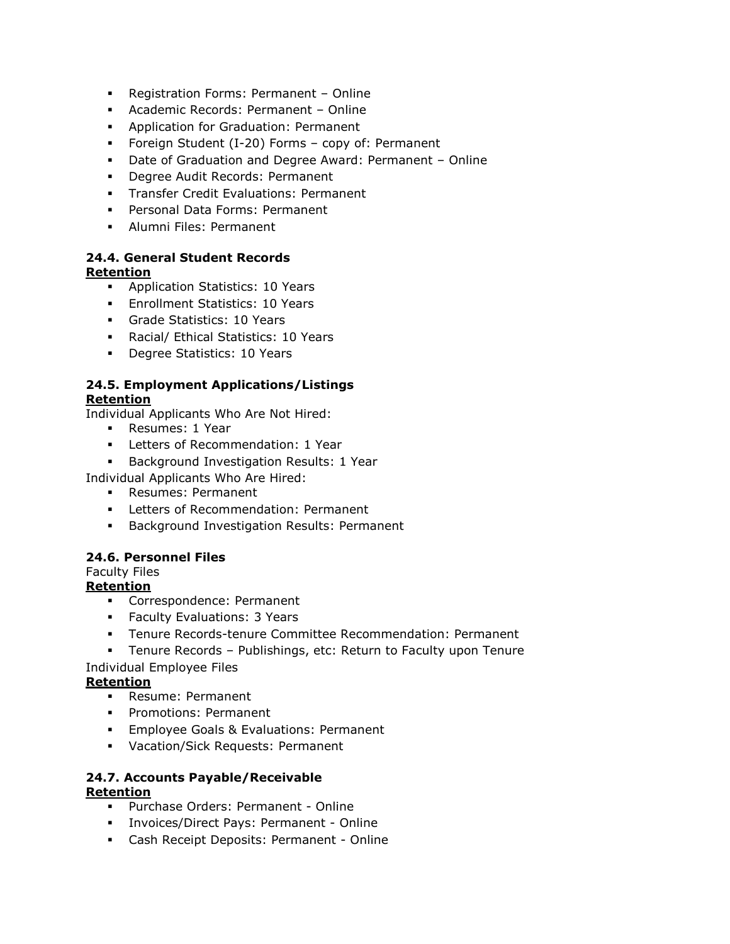- Registration Forms: Permanent Online
- Academic Records: Permanent Online
- **Application for Graduation: Permanent**
- Foreign Student (I-20) Forms copy of: Permanent
- Date of Graduation and Degree Award: Permanent Online
- **-** Degree Audit Records: Permanent
- **Transfer Credit Evaluations: Permanent**
- Personal Data Forms: Permanent
- **Alumni Files: Permanent**

#### <span id="page-39-0"></span>**24.4. General Student Records Retention**

- **Application Statistics: 10 Years**
- **Enrollment Statistics: 10 Years**
- Grade Statistics: 10 Years
- Racial/ Ethical Statistics: 10 Years
- **Degree Statistics: 10 Years**

#### <span id="page-39-1"></span>**24.5. Employment Applications/Listings Retention**

Individual Applicants Who Are Not Hired:

- **Resumes: 1 Year**
- **Letters of Recommendation: 1 Year**
- **Background Investigation Results: 1 Year**

Individual Applicants Who Are Hired:

- Resumes: Permanent
- **Letters of Recommendation: Permanent**
- **Background Investigation Results: Permanent**

# <span id="page-39-2"></span>**24.6. Personnel Files**

# Faculty Files

#### **Retention**

- Correspondence: Permanent
- **Faculty Evaluations: 3 Years**
- Tenure Records-tenure Committee Recommendation: Permanent
- Tenure Records Publishings, etc: Return to Faculty upon Tenure

#### Individual Employee Files

# **Retention**

- **Resume: Permanent**
- **Promotions: Permanent**
- **Employee Goals & Evaluations: Permanent**
- Vacation/Sick Requests: Permanent

#### <span id="page-39-3"></span>**24.7. Accounts Payable/Receivable Retention**

- Purchase Orders: Permanent Online
- Invoices/Direct Pays: Permanent Online
- Cash Receipt Deposits: Permanent Online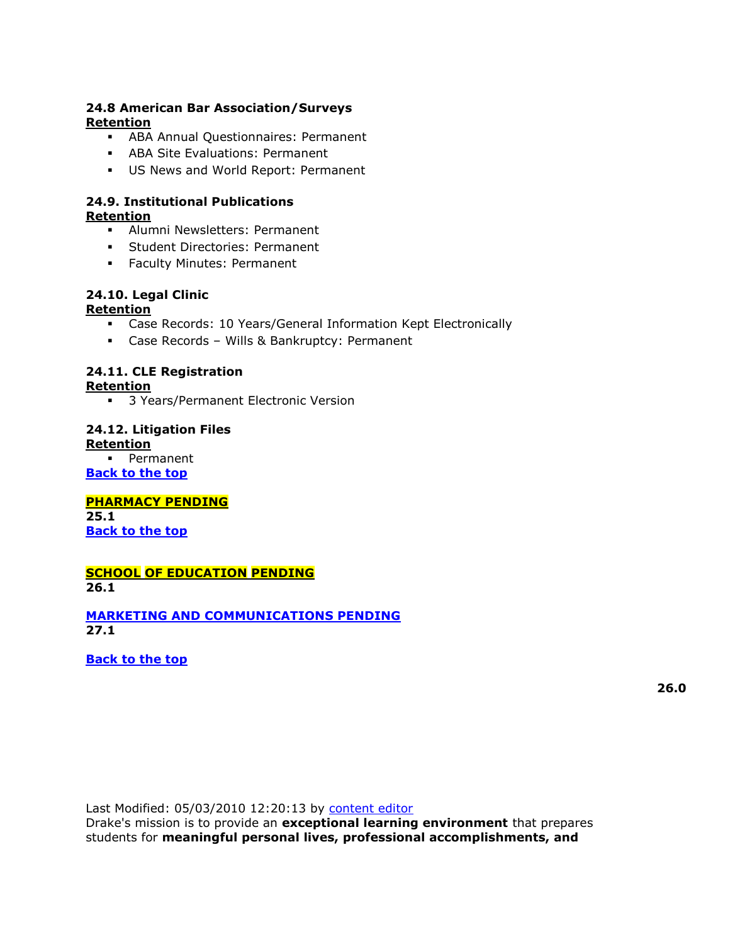#### <span id="page-40-0"></span>**24.8 American Bar Association/Surveys Retention**

- ABA Annual Questionnaires: Permanent
- ABA Site Evaluations: Permanent
- US News and World Report: Permanent

#### <span id="page-40-1"></span>**24.9. Institutional Publications Retention**

- Alumni Newsletters: Permanent
- **Student Directories: Permanent**
- **Faculty Minutes: Permanent**

# <span id="page-40-2"></span>**24.10. Legal Clinic**

# **Retention**

- Case Records: 10 Years/General Information Kept Electronically
- Case Records Wills & Bankruptcy: Permanent

#### <span id="page-40-3"></span>**24.11. CLE Registration Retention**

**3 Years/Permanent Electronic Version** 

#### <span id="page-40-4"></span>**24.12. Litigation Files Retention**

• Permanent

**[Back to the top](#page-0-0)**

#### <span id="page-40-5"></span>**PHARMACY PENDING 25.1**

**[Back to the top](#page-0-0)**

#### **SCHOOL OF EDUCATION PENDING 26.1**

<span id="page-40-6"></span>**[MARKETING AND COMMUNICATIONS PENDING](http://www.drake.edu/busfin/policies_folder/busfin_record_retention.php#_Toc97526528) 27.1**

**[Back to the top](#page-0-0)**

**26.0**

Last Modified: 05/03/2010 12:20:13 by [content editor](javascript:;)

Drake's mission is to provide an **exceptional learning environment** that prepares students for **meaningful personal lives, professional accomplishments, and**